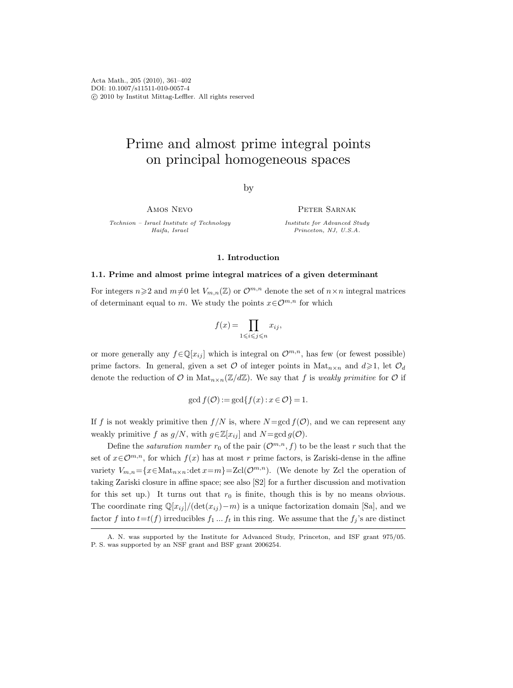Acta Math., 205 (2010), 361–402 DOI: 10.1007/s11511-010-0057-4 c 2010 by Institut Mittag-Leffler. All rights reserved

# Prime and almost prime integral points on principal homogeneous spaces

by

Amos Nevo

Technion – Israel Institute of Technology Haifa, Israel

PETER SARNAK

Institute for Advanced Study Princeton, NJ, U.S.A.

# 1. Introduction

### 1.1. Prime and almost prime integral matrices of a given determinant

For integers  $n\geq 2$  and  $m\neq 0$  let  $V_{m,n}(\mathbb{Z})$  or  $\mathcal{O}^{m,n}$  denote the set of  $n\times n$  integral matrices of determinant equal to m. We study the points  $x \in \mathcal{O}^{m,n}$  for which

$$
f(x) = \prod_{1 \leq i \leq j \leq n} x_{ij},
$$

or more generally any  $f \in \mathbb{Q}[x_{ij}]$  which is integral on  $\mathcal{O}^{m,n}$ , has few (or fewest possible) prime factors. In general, given a set  $\mathcal O$  of integer points in Mat<sub>n×n</sub> and  $d\geqslant 1$ , let  $\mathcal O_d$ denote the reduction of  $\mathcal O$  in  $\operatorname{Mat}_{n\times n}(\mathbb Z/d\mathbb Z)$ . We say that f is weakly primitive for  $\mathcal O$  if

$$
\gcd f(\mathcal{O}) := \gcd\{f(x) : x \in \mathcal{O}\} = 1.
$$

If f is not weakly primitive then  $f/N$  is, where  $N = \gcd f(\mathcal{O})$ , and we can represent any weakly primitive f as  $g/N$ , with  $g \in \mathbb{Z}[x_{ij}]$  and  $N = \gcd(g(\mathcal{O}))$ .

Define the *saturation number*  $r_0$  of the pair  $(\mathcal{O}^{m,n}, f)$  to be the least r such that the set of  $x \in \mathcal{O}^{m,n}$ , for which  $f(x)$  has at most r prime factors, is Zariski-dense in the affine variety  $V_{m,n} = \{x \in \text{Mat}_{n \times n} : \text{det } x = m\} = \text{Zcl}(\mathcal{O}^{m,n})$ . (We denote by Zcl the operation of taking Zariski closure in affine space; see also [S2] for a further discussion and motivation for this set up.) It turns out that  $r_0$  is finite, though this is by no means obvious. The coordinate ring  $\mathbb{Q}[x_{ij}]/(\det(x_{ij})-m)$  is a unique factorization domain [Sa], and we factor f into  $t=t(f)$  irreducibles  $f_1 \dots f_t$  in this ring. We assume that the  $f_j$ 's are distinct

A. N. was supported by the Institute for Advanced Study, Princeton, and ISF grant 975/05. P. S. was supported by an NSF grant and BSF grant 2006254.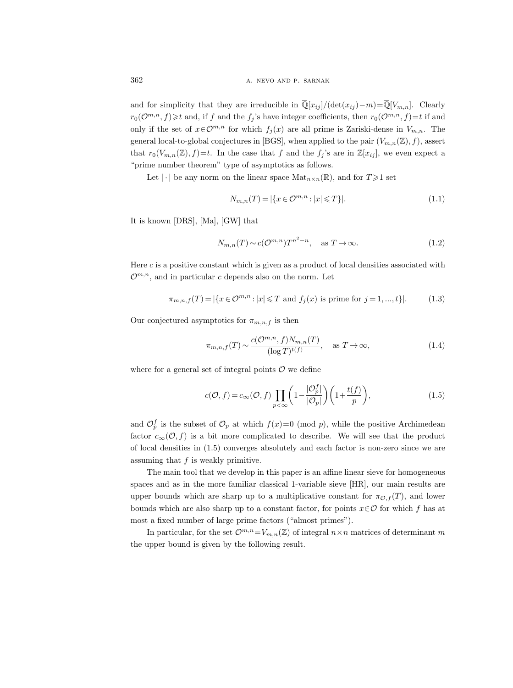and for simplicity that they are irreducible in  $\overline{\mathbb{Q}}[x_{ij}]/(\det(x_{ij})-m) = \overline{\mathbb{Q}}[V_{m,n}]$ . Clearly  $r_0(\mathcal{O}^{m,n}, f) \geq t$  and, if f and the  $f_j$ 's have integer coefficients, then  $r_0(\mathcal{O}^{m,n}, f)=t$  if and only if the set of  $x \in \mathcal{O}^{m,n}$  for which  $f_i(x)$  are all prime is Zariski-dense in  $V_{m,n}$ . The general local-to-global conjectures in [BGS], when applied to the pair  $(V_{m,n}(\mathbb{Z}), f)$ , assert that  $r_0(V_{m,n}(\mathbb{Z}), f)=t$ . In the case that f and the  $f_j$ 's are in  $\mathbb{Z}[x_{ij}]$ , we even expect a "prime number theorem" type of asymptotics as follows.

Let  $|\cdot|$  be any norm on the linear space  $\text{Mat}_{n\times n}(\mathbb{R})$ , and for  $T\geq 1$  set

$$
N_{m,n}(T) = |\{x \in \mathcal{O}^{m,n} : |x| \leq T\}|. \tag{1.1}
$$

It is known [DRS], [Ma], [GW] that

$$
N_{m,n}(T) \sim c(\mathcal{O}^{m,n})T^{n^2-n}, \quad \text{as } T \to \infty.
$$
 (1.2)

Here  $c$  is a positive constant which is given as a product of local densities associated with  $\mathcal{O}^{m,n}$ , and in particular c depends also on the norm. Let

$$
\pi_{m,n,f}(T) = |\{x \in \mathcal{O}^{m,n} : |x| \leq T \text{ and } f_j(x) \text{ is prime for } j = 1, ..., t\}|. \tag{1.3}
$$

Our conjectured asymptotics for  $\pi_{m,n,f}$  is then

$$
\pi_{m,n,f}(T) \sim \frac{c(\mathcal{O}^{m,n}, f)N_{m,n}(T)}{(\log T)^{t(f)}}, \quad \text{as } T \to \infty,
$$
\n(1.4)

where for a general set of integral points  $\mathcal O$  we define

$$
c(\mathcal{O}, f) = c_{\infty}(\mathcal{O}, f) \prod_{p < \infty} \left( 1 - \frac{|\mathcal{O}_p^f|}{|\mathcal{O}_p|} \right) \left( 1 + \frac{t(f)}{p} \right),\tag{1.5}
$$

and  $\mathcal{O}_p^f$  is the subset of  $\mathcal{O}_p$  at which  $f(x)=0 \pmod{p}$ , while the positive Archimedean factor  $c_{\infty}(\mathcal{O},f)$  is a bit more complicated to describe. We will see that the product of local densities in (1.5) converges absolutely and each factor is non-zero since we are assuming that  $f$  is weakly primitive.

The main tool that we develop in this paper is an affine linear sieve for homogeneous spaces and as in the more familiar classical 1-variable sieve [HR], our main results are upper bounds which are sharp up to a multiplicative constant for  $\pi_{\mathcal{O},f}(T)$ , and lower bounds which are also sharp up to a constant factor, for points  $x \in \mathcal{O}$  for which f has at most a fixed number of large prime factors ("almost primes").

In particular, for the set  $\mathcal{O}^{m,n}=V_{m,n}(\mathbb{Z})$  of integral  $n\times n$  matrices of determinant m the upper bound is given by the following result.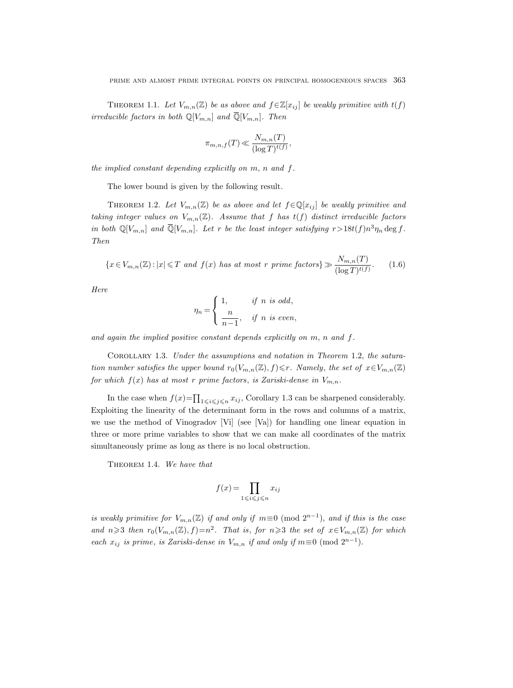THEOREM 1.1. Let  $V_{m,n}(\mathbb{Z})$  be as above and  $f \in \mathbb{Z}[x_{ij}]$  be weakly primitive with  $t(f)$ irreducible factors in both  $\mathbb{Q}[V_{m,n}]$  and  $\overline{\mathbb{Q}}[V_{m,n}]$ . Then

$$
\pi_{m,n,f}(T)\ll \frac{N_{m,n}(T)}{(\log T)^{t(f)}},
$$

the implied constant depending explicitly on m, n and f.

The lower bound is given by the following result.

THEOREM 1.2. Let  $V_{m,n}(\mathbb{Z})$  be as above and let  $f \in \mathbb{Q}[x_{ij}]$  be weakly primitive and taking integer values on  $V_{m,n}(\mathbb{Z})$ . Assume that f has  $t(f)$  distinct irreducible factors in both  $\mathbb{Q}[V_{m,n}]$  and  $\overline{\mathbb{Q}}[V_{m,n}]$ . Let r be the least integer satisfying  $r > 18t(f)n^3\eta_n \deg f$ . Then

$$
\{x \in V_{m,n}(\mathbb{Z}) : |x| \leq T \text{ and } f(x) \text{ has at most } r \text{ prime factors} \} \gg \frac{N_{m,n}(T)}{(\log T)^{t(f)}}.
$$
 (1.6)

Here

$$
\eta_n = \begin{cases} 1, & \text{if } n \text{ is odd,} \\ \frac{n}{n-1}, & \text{if } n \text{ is even,} \end{cases}
$$

and again the implied positive constant depends explicitly on m, n and f.

Corollary 1.3. Under the assumptions and notation in Theorem 1.2, the saturation number satisfies the upper bound  $r_0(V_{m,n}(\mathbb{Z}), f) \leq r$ . Namely, the set of  $x \in V_{m,n}(\mathbb{Z})$ for which  $f(x)$  has at most r prime factors, is Zariski-dense in  $V_{m,n}$ .

In the case when  $f(x) = \prod_{1 \leq i \leq j \leq n} x_{ij}$ , Corollary 1.3 can be sharpened considerably. Exploiting the linearity of the determinant form in the rows and columns of a matrix, we use the method of Vinogradov [Vi] (see [Va]) for handling one linear equation in three or more prime variables to show that we can make all coordinates of the matrix simultaneously prime as long as there is no local obstruction.

THEOREM 1.4. We have that

$$
f(x) = \prod_{1 \leq i \leq j \leq n} x_{ij}
$$

is weakly primitive for  $V_{m,n}(\mathbb{Z})$  if and only if  $m \equiv 0 \pmod{2^{n-1}}$ , and if this is the case and  $n \geq 3$  then  $r_0(V_{m,n}(\mathbb{Z}), f) = n^2$ . That is, for  $n \geq 3$  the set of  $x \in V_{m,n}(\mathbb{Z})$  for which each  $x_{ij}$  is prime, is Zariski-dense in  $V_{m,n}$  if and only if  $m \equiv 0 \pmod{2^{n-1}}$ .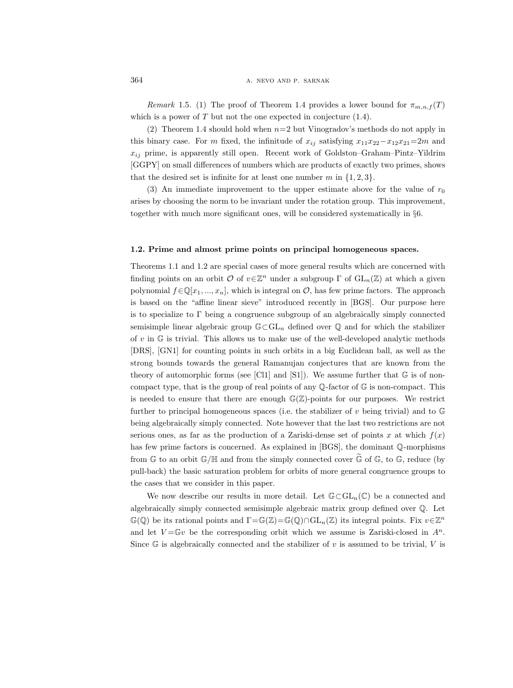364 **a.** NEVO AND P. SARNAK

Remark 1.5. (1) The proof of Theorem 1.4 provides a lower bound for  $\pi_{m,n,f}(T)$ which is a power of  $T$  but not the one expected in conjecture  $(1.4)$ .

(2) Theorem 1.4 should hold when  $n=2$  but Vinogradov's methods do not apply in this binary case. For m fixed, the infinitude of  $x_{ij}$  satisfying  $x_{11}x_{22}-x_{12}x_{21}=2m$  and  $x_{ij}$  prime, is apparently still open. Recent work of Goldston–Graham–Pintz–Yildrim [GGPY] on small differences of numbers which are products of exactly two primes, shows that the desired set is infinite for at least one number m in  $\{1, 2, 3\}.$ 

(3) An immediate improvement to the upper estimate above for the value of  $r_0$ arises by choosing the norm to be invariant under the rotation group. This improvement, together with much more significant ones, will be considered systematically in §6.

### 1.2. Prime and almost prime points on principal homogeneous spaces.

Theorems 1.1 and 1.2 are special cases of more general results which are concerned with finding points on an orbit  $\mathcal O$  of  $v \in \mathbb Z^n$  under a subgroup  $\Gamma$  of  $\text{GL}_n(\mathbb Z)$  at which a given polynomial  $f \in \mathbb{Q}[x_1, ..., x_n]$ , which is integral on  $\mathcal{O}$ , has few prime factors. The approach is based on the "affine linear sieve" introduced recently in [BGS]. Our purpose here is to specialize to  $\Gamma$  being a congruence subgroup of an algebraically simply connected semisimple linear algebraic group  $\mathbb{G}\subset GL_n$  defined over  $\mathbb{Q}$  and for which the stabilizer of  $v$  in  $\mathbb G$  is trivial. This allows us to make use of the well-developed analytic methods [DRS], [GN1] for counting points in such orbits in a big Euclidean ball, as well as the strong bounds towards the general Ramanujan conjectures that are known from the theory of automorphic forms (see [Cl1] and [S1]). We assume further that  $\mathbb{G}$  is of noncompact type, that is the group of real points of any  $\mathbb{Q}$ -factor of  $\mathbb{G}$  is non-compact. This is needed to ensure that there are enough  $\mathbb{G}(\mathbb{Z})$ -points for our purposes. We restrict further to principal homogeneous spaces (i.e. the stabilizer of v being trivial) and to  $\mathbb G$ being algebraically simply connected. Note however that the last two restrictions are not serious ones, as far as the production of a Zariski-dense set of points x at which  $f(x)$ has few prime factors is concerned. As explained in [BGS], the dominant Q-morphisms from  $\mathbb{G}$  to an orbit  $\mathbb{G}/\mathbb{H}$  and from the simply connected cover  $\mathbb{G}$  of  $\mathbb{G}$ , to  $\mathbb{G}$ , reduce (by pull-back) the basic saturation problem for orbits of more general congruence groups to the cases that we consider in this paper.

We now describe our results in more detail. Let  $\mathbb{G}\subset GL_n(\mathbb{C})$  be a connected and algebraically simply connected semisimple algebraic matrix group defined over Q. Let  $\mathbb{G}(\mathbb{Q})$  be its rational points and  $\Gamma = \mathbb{G}(\mathbb{Z}) = \mathbb{G}(\mathbb{Q}) \cap GL_n(\mathbb{Z})$  its integral points. Fix  $v \in \mathbb{Z}^n$ and let  $V = \mathbb{G}v$  be the corresponding orbit which we assume is Zariski-closed in  $A^n$ . Since  $\mathbb G$  is algebraically connected and the stabilizer of v is assumed to be trivial, V is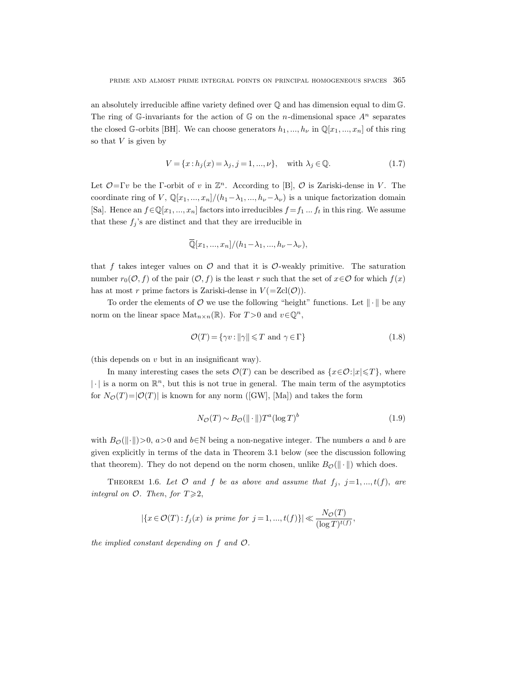an absolutely irreducible affine variety defined over  $\mathbb Q$  and has dimension equal to dim  $\mathbb G$ . The ring of G-invariants for the action of G on the *n*-dimensional space  $A^n$  separates the closed G-orbits [BH]. We can choose generators  $h_1, ..., h_\nu$  in  $\mathbb{Q}[x_1, ..., x_n]$  of this ring so that  $V$  is given by

$$
V = \{x : h_j(x) = \lambda_j, j = 1, ..., \nu\}, \quad \text{with } \lambda_j \in \mathbb{Q}.\tag{1.7}
$$

Let  $\mathcal{O} = \Gamma v$  be the Γ-orbit of v in  $\mathbb{Z}^n$ . According to [B],  $\mathcal{O}$  is Zariski-dense in V. The coordinate ring of V,  $\mathbb{Q}[x_1, ..., x_n]/(h_1-\lambda_1, ..., h_\nu-\lambda_\nu)$  is a unique factorization domain [Sa]. Hence an  $f \in \mathbb{Q}[x_1, ..., x_n]$  factors into irreducibles  $f = f_1 ... f_t$  in this ring. We assume that these  $f_j$ 's are distinct and that they are irreducible in

$$
\overline{\mathbb{Q}}[x_1, ..., x_n]/(h_1 - \lambda_1, ..., h_\nu - \lambda_\nu),
$$

that f takes integer values on  $\mathcal O$  and that it is  $\mathcal O$ -weakly primitive. The saturation number  $r_0(\mathcal{O}, f)$  of the pair  $(\mathcal{O}, f)$  is the least r such that the set of  $x \in \mathcal{O}$  for which  $f(x)$ has at most r prime factors is Zariski-dense in  $V(=\text{Zcl}(\mathcal{O}))$ .

To order the elements of  $\mathcal O$  we use the following "height" functions. Let  $\|\cdot\|$  be any norm on the linear space  $\text{Mat}_{n\times n}(\mathbb{R})$ . For  $T>0$  and  $v\in\mathbb{Q}^n$ ,

$$
\mathcal{O}(T) = \{ \gamma v : ||\gamma|| \le T \text{ and } \gamma \in \Gamma \}
$$
\n(1.8)

(this depends on v but in an insignificant way).

In many interesting cases the sets  $\mathcal{O}(T)$  can be described as  $\{x \in \mathcal{O}: |x| \leq T\}$ , where  $|\cdot|$  is a norm on  $\mathbb{R}^n$ , but this is not true in general. The main term of the asymptotics for  $N_{\mathcal{O}}(T)=|\mathcal{O}(T)|$  is known for any norm ([GW], [Ma]) and takes the form

$$
N_{\mathcal{O}}(T) \sim B_{\mathcal{O}}(\|\cdot\|)T^{a}(\log T)^{b} \tag{1.9}
$$

with  $B_{\mathcal{O}}(\Vert \cdot \Vert) > 0$ ,  $a > 0$  and  $b \in \mathbb{N}$  being a non-negative integer. The numbers a and b are given explicitly in terms of the data in Theorem 3.1 below (see the discussion following that theorem). They do not depend on the norm chosen, unlike  $B_{\mathcal{O}}(\|\cdot\|)$  which does.

THEOREM 1.6. Let  $O$  and  $f$  be as above and assume that  $f_j$ ,  $j=1, ..., t(f)$ , are integral on  $\mathcal{O}$ . Then, for  $T \geq 2$ ,

$$
|\{x \in \mathcal{O}(T) : f_j(x) \text{ is prime for } j = 1, \dots, t(f)\}| \ll \frac{N_{\mathcal{O}}(T)}{(\log T)^{t(f)}},
$$

the implied constant depending on f and O.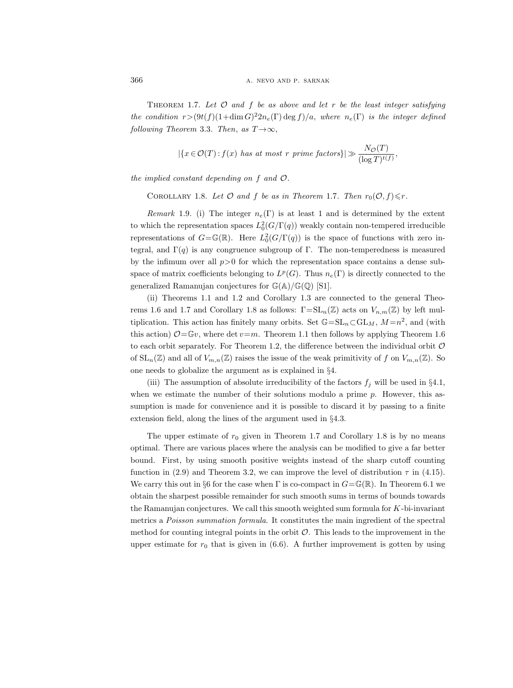THEOREM 1.7. Let  $\mathcal O$  and  $f$  be as above and let r be the least integer satisfying the condition  $r > (9t(f)(1 + \dim G)^2 2n_e(\Gamma) \deg f)/a$ , where  $n_e(\Gamma)$  is the integer defined following Theorem 3.3. Then, as  $T \rightarrow \infty$ ,

$$
|\{x \in \mathcal{O}(T) : f(x) \text{ has at most } r \text{ prime factors}\}| \gg \frac{N_{\mathcal{O}}(T)}{(\log T)^{t(f)}},\
$$

the implied constant depending on  $f$  and  $\mathcal{O}$ .

COROLLARY 1.8. Let  $\mathcal O$  and  $f$  be as in Theorem 1.7. Then  $r_0(\mathcal O, f)\leq r$ .

Remark 1.9. (i) The integer  $n_e(\Gamma)$  is at least 1 and is determined by the extent to which the representation spaces  $L_0^2(G/\Gamma(q))$  weakly contain non-tempered irreducible representations of  $G = \mathbb{G}(\mathbb{R})$ . Here  $L_0^2(G/\Gamma(q))$  is the space of functions with zero integral, and  $\Gamma(q)$  is any congruence subgroup of Γ. The non-temperedness is measured by the infimum over all  $p>0$  for which the representation space contains a dense subspace of matrix coefficients belonging to  $L^p(G)$ . Thus  $n_e(\Gamma)$  is directly connected to the generalized Ramanujan conjectures for  $\mathbb{G}(\mathbb{A})/\mathbb{G}(\mathbb{Q})$  [S1].

(ii) Theorems 1.1 and 1.2 and Corollary 1.3 are connected to the general Theorems 1.6 and 1.7 and Corollary 1.8 as follows:  $\Gamma = SL_n(\mathbb{Z})$  acts on  $V_{n,m}(\mathbb{Z})$  by left multiplication. This action has finitely many orbits. Set  $\mathbb{G} = SL_n \subset GL_M$ ,  $M = n^2$ , and (with this action)  $\mathcal{O}=\mathbb{G}v$ , where det  $v=m$ . Theorem 1.1 then follows by applying Theorem 1.6 to each orbit separately. For Theorem 1.2, the difference between the individual orbit  $\mathcal O$ of  $SL_n(\mathbb{Z})$  and all of  $V_{m,n}(\mathbb{Z})$  raises the issue of the weak primitivity of f on  $V_{m,n}(\mathbb{Z})$ . So one needs to globalize the argument as is explained in §4.

(iii) The assumption of absolute irreducibility of the factors  $f_j$  will be used in §4.1, when we estimate the number of their solutions modulo a prime  $p$ . However, this assumption is made for convenience and it is possible to discard it by passing to a finite extension field, along the lines of the argument used in §4.3.

The upper estimate of  $r_0$  given in Theorem 1.7 and Corollary 1.8 is by no means optimal. There are various places where the analysis can be modified to give a far better bound. First, by using smooth positive weights instead of the sharp cutoff counting function in (2.9) and Theorem 3.2, we can improve the level of distribution  $\tau$  in (4.15). We carry this out in §6 for the case when  $\Gamma$  is co-compact in  $G = \mathbb{G}(\mathbb{R})$ . In Theorem 6.1 we obtain the sharpest possible remainder for such smooth sums in terms of bounds towards the Ramanujan conjectures. We call this smooth weighted sum formula for K-bi-invariant metrics a Poisson summation formula. It constitutes the main ingredient of the spectral method for counting integral points in the orbit  $\mathcal O$ . This leads to the improvement in the upper estimate for  $r_0$  that is given in (6.6). A further improvement is gotten by using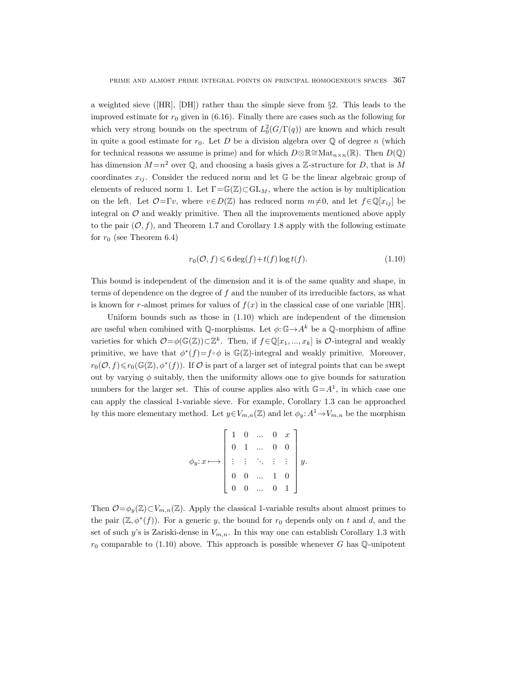a weighted sieve ([HR], [DH]) rather than the simple sieve from §2. This leads to the improved estimate for  $r_0$  given in (6.16). Finally there are cases such as the following for which very strong bounds on the spectrum of  $L_0^2(G/\Gamma(q))$  are known and which result in quite a good estimate for  $r_0$ . Let D be a division algebra over  $\mathbb Q$  of degree n (which for technical reasons we assume is prime) and for which  $D \otimes \mathbb{R} \cong \text{Mat}_{n \times n}(\mathbb{R})$ . Then  $D(\mathbb{Q})$ has dimension  $M = n^2$  over  $\mathbb{Q}$ , and choosing a basis gives a Z-structure for D, that is M coordinates  $x_{ij}$ . Consider the reduced norm and let G be the linear algebraic group of elements of reduced norm 1. Let  $\Gamma = \mathbb{G}(\mathbb{Z}) \subset \mathrm{GL}_M$ , where the action is by multiplication on the left. Let  $\mathcal{O}=\Gamma v$ , where  $v\in D(\mathbb{Z})$  has reduced norm  $m\neq 0$ , and let  $f\in\mathbb{Q}[x_{ij}]$  be integral on  $O$  and weakly primitive. Then all the improvements mentioned above apply to the pair  $(O, f)$ , and Theorem 1.7 and Corollary 1.8 apply with the following estimate for  $r_0$  (see Theorem 6.4)

$$
r_0(\mathcal{O}, f) \leqslant 6 \deg(f) + t(f) \log t(f). \tag{1.10}
$$

This bound is independent of the dimension and it is of the same quality and shape, in terms of dependence on the degree of  $f$  and the number of its irreducible factors, as what is known for r-almost primes for values of  $f(x)$  in the classical case of one variable [HR].

Uniform bounds such as those in (1.10) which are independent of the dimension are useful when combined with  $\mathbb Q$ -morphisms. Let  $\phi: \mathbb G \to A^k$  be a  $\mathbb Q$ -morphism of affine varieties for which  $\mathcal{O} = \phi(\mathbb{G}(\mathbb{Z})) \subset \mathbb{Z}^k$ . Then, if  $f \in \mathbb{Q}[x_1, ..., x_k]$  is  $\mathcal{O}\text{-integral}$  and weakly primitive, we have that  $\phi^*(f) = f \circ \phi$  is  $\mathbb{G}(\mathbb{Z})$ -integral and weakly primitive. Moreover,  $r_0(\mathcal{O}, f) \leq r_0(\mathbb{G}(\mathbb{Z}), \phi^*(f))$ . If  $\mathcal O$  is part of a larger set of integral points that can be swept out by varying  $\phi$  suitably, then the uniformity allows one to give bounds for saturation numbers for the larger set. This of course applies also with  $\mathbb{G} = A^1$ , in which case one can apply the classical 1-variable sieve. For example, Corollary 1.3 can be approached by this more elementary method. Let  $y \in V_{m,n}(\mathbb{Z})$  and let  $\phi_y: A^1 \to V_{m,n}$  be the morphism

$$
\phi_y: x \longmapsto \left[\begin{array}{ccccc} 1 & 0 & \dots & 0 & x \\ 0 & 1 & \dots & 0 & 0 \\ \vdots & \vdots & \ddots & \vdots & \vdots \\ 0 & 0 & \dots & 1 & 0 \\ 0 & 0 & \dots & 0 & 1 \end{array}\right]y.
$$

Then  $\mathcal{O}=\phi_v(\mathbb{Z})\subset V_{m,n}(\mathbb{Z})$ . Apply the classical 1-variable results about almost primes to the pair  $(\mathbb{Z}, \phi^*(f))$ . For a generic y, the bound for  $r_0$  depends only on t and d, and the set of such y's is Zariski-dense in  $V_{m,n}$ . In this way one can establish Corollary 1.3 with  $r_0$  comparable to (1.10) above. This approach is possible whenever G has Q-unipotent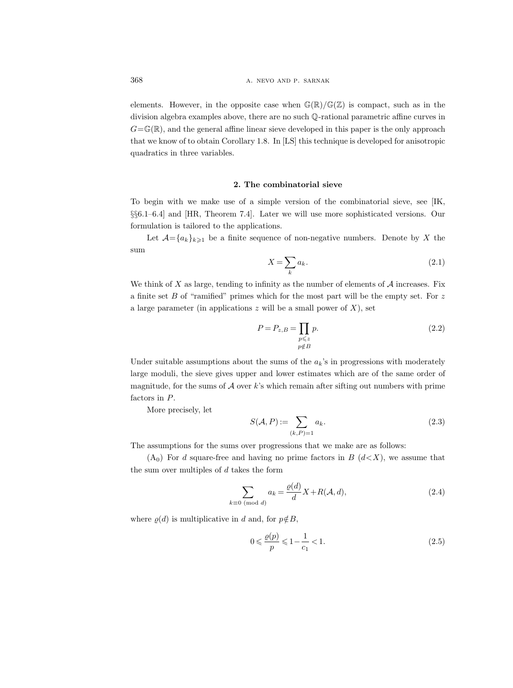elements. However, in the opposite case when  $\mathbb{G}(\mathbb{R})/\mathbb{G}(\mathbb{Z})$  is compact, such as in the division algebra examples above, there are no such Q-rational parametric affine curves in  $G=\mathbb{G}(\mathbb{R})$ , and the general affine linear sieve developed in this paper is the only approach that we know of to obtain Corollary 1.8. In [LS] this technique is developed for anisotropic quadratics in three variables.

# 2. The combinatorial sieve

To begin with we make use of a simple version of the combinatorial sieve, see [IK, §§6.1–6.4] and [HR, Theorem 7.4]. Later we will use more sophisticated versions. Our formulation is tailored to the applications.

Let  $\mathcal{A}=\{a_k\}_{k\geqslant1}$  be a finite sequence of non-negative numbers. Denote by X the sum

$$
X = \sum_{k} a_k. \tag{2.1}
$$

We think of X as large, tending to infinity as the number of elements of  $A$  increases. Fix a finite set  $B$  of "ramified" primes which for the most part will be the empty set. For  $z$ a large parameter (in applications  $z$  will be a small power of  $X$ ), set

$$
P = P_{z,B} = \prod_{\substack{p \le z \\ p \notin B}} p.
$$
\n(2.2)

Under suitable assumptions about the sums of the  $a_k$ 's in progressions with moderately large moduli, the sieve gives upper and lower estimates which are of the same order of magnitude, for the sums of  $A$  over  $k$ 's which remain after sifting out numbers with prime factors in P.

More precisely, let

$$
S(\mathcal{A}, P) := \sum_{(k, P) = 1} a_k. \tag{2.3}
$$

The assumptions for the sums over progressions that we make are as follows:

 $(A_0)$  For d square-free and having no prime factors in B  $(d\lt X)$ , we assume that the sum over multiples of  $d$  takes the form

$$
\sum_{k\equiv 0 \pmod{d}} a_k = \frac{\varrho(d)}{d} X + R(\mathcal{A}, d),\tag{2.4}
$$

where  $\rho(d)$  is multiplicative in d and, for  $p \notin B$ ,

$$
0 \leq \frac{\varrho(p)}{p} \leq 1 - \frac{1}{c_1} < 1. \tag{2.5}
$$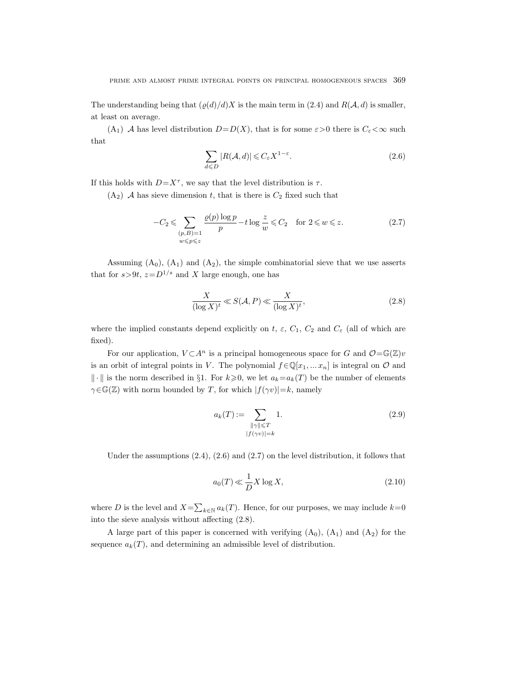The understanding being that  $(\rho(d)/d)X$  is the main term in (2.4) and  $R(\mathcal{A}, d)$  is smaller, at least on average.

(A<sub>1</sub>) A has level distribution  $D=D(X)$ , that is for some  $\varepsilon>0$  there is  $C_{\varepsilon}<\infty$  such that

$$
\sum_{d \le D} |R(\mathcal{A}, d)| \le C_{\varepsilon} X^{1 - \varepsilon}.
$$
\n(2.6)

If this holds with  $D=X^{\tau}$ , we say that the level distribution is  $\tau$ .

 $(A_2)$  A has sieve dimension t, that is there is  $C_2$  fixed such that

$$
-C_2 \leqslant \sum_{\substack{(p,B)=1\\w\leqslant p\leqslant z}} \frac{\varrho(p)\log p}{p} - t\log\frac{z}{w} \leqslant C_2 \quad \text{for } 2 \leqslant w \leqslant z. \tag{2.7}
$$

Assuming  $(A_0)$ ,  $(A_1)$  and  $(A_2)$ , the simple combinatorial sieve that we use asserts that for  $s > 9t$ ,  $z = D^{1/s}$  and X large enough, one has

$$
\frac{X}{(\log X)^t} \ll S(\mathcal{A}, P) \ll \frac{X}{(\log X)^t},\tag{2.8}
$$

where the implied constants depend explicitly on t,  $\varepsilon$ ,  $C_1$ ,  $C_2$  and  $C_{\varepsilon}$  (all of which are fixed).

For our application,  $V \subset A^n$  is a principal homogeneous space for G and  $\mathcal{O} = \mathbb{G}(\mathbb{Z})v$ is an orbit of integral points in V. The polynomial  $f \in \mathbb{Q}[x_1, \dots x_n]$  is integral on  $\mathcal O$  and  $\|\cdot\|$  is the norm described in §1. For  $k\geqslant 0$ , we let  $a_k=a_k(T)$  be the number of elements  $\gamma \in \mathbb{G}(\mathbb{Z})$  with norm bounded by T, for which  $|f(\gamma v)| = k$ , namely

$$
a_k(T) := \sum_{\substack{\|\gamma\| \le T \\ |f(\gamma v)| = k}} 1.
$$
\n(2.9)

Under the assumptions  $(2.4)$ ,  $(2.6)$  and  $(2.7)$  on the level distribution, it follows that

$$
a_0(T) \ll \frac{1}{D} X \log X,\tag{2.10}
$$

where D is the level and  $X = \sum_{k \in \mathbb{N}} a_k(T)$ . Hence, for our purposes, we may include  $k=0$ into the sieve analysis without affecting (2.8).

A large part of this paper is concerned with verifying  $(A_0)$ ,  $(A_1)$  and  $(A_2)$  for the sequence  $a_k(T)$ , and determining an admissible level of distribution.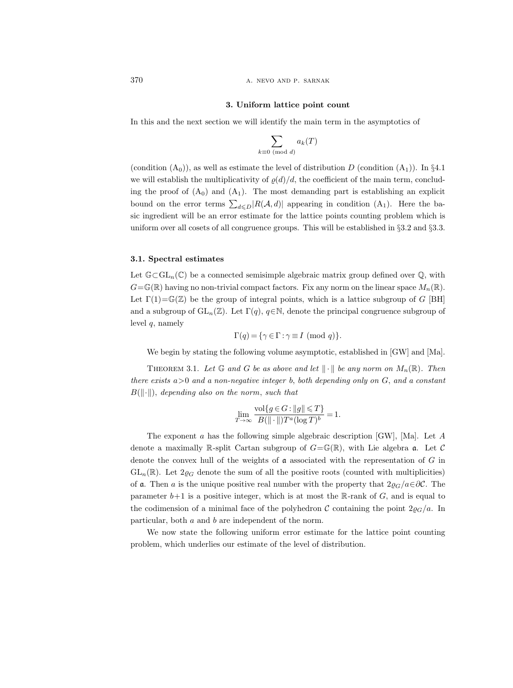370 **a.** NEVO AND P. SARNAK

# 3. Uniform lattice point count

In this and the next section we will identify the main term in the asymptotics of

$$
\sum_{k\equiv 0\!\!\!\!\pmod{d}}a_k(T)
$$

(condition  $(A_0)$ ), as well as estimate the level of distribution D (condition  $(A_1)$ ). In §4.1 we will establish the multiplicativity of  $\varrho(d)/d$ , the coefficient of the main term, concluding the proof of  $(A_0)$  and  $(A_1)$ . The most demanding part is establishing an explicit bound on the error terms  $\sum_{d \leq D} |R(A, d)|$  appearing in condition  $(A_1)$ . Here the basic ingredient will be an error estimate for the lattice points counting problem which is uniform over all cosets of all congruence groups. This will be established in §3.2 and §3.3.

#### 3.1. Spectral estimates

Let  $\mathbb{G}\subset GL_n(\mathbb{C})$  be a connected semisimple algebraic matrix group defined over  $\mathbb{Q}$ , with  $G=\mathbb{G}(\mathbb{R})$  having no non-trivial compact factors. Fix any norm on the linear space  $M_n(\mathbb{R})$ . Let  $\Gamma(1) = \mathbb{G}(\mathbb{Z})$  be the group of integral points, which is a lattice subgroup of G [BH] and a subgroup of  $GL_n(\mathbb{Z})$ . Let  $\Gamma(q)$ ,  $q \in \mathbb{N}$ , denote the principal congruence subgroup of level  $q$ , namely

$$
\Gamma(q) = \{ \gamma \in \Gamma : \gamma \equiv I \pmod{q} \}.
$$

We begin by stating the following volume asymptotic, established in [GW] and [Ma].

THEOREM 3.1. Let  $\mathbb G$  and  $G$  be as above and let  $\|\cdot\|$  be any norm on  $M_n(\mathbb R)$ . Then there exists  $a>0$  and a non-negative integer b, both depending only on  $G$ , and a constant  $B(||\cdot||)$ , depending also on the norm, such that

$$
\lim_{T \to \infty} \frac{\text{vol}\{g \in G : ||g|| \le T\}}{B(||\cdot||)T^a (\log T)^b} = 1.
$$

The exponent a has the following simple algebraic description [GW], [Ma]. Let A denote a maximally R-split Cartan subgroup of  $G = \mathbb{G}(\mathbb{R})$ , with Lie algebra  $\mathfrak{a}$ . Let C denote the convex hull of the weights of  $\alpha$  associated with the representation of G in  $GL_n(\mathbb{R})$ . Let  $2\varrho_G$  denote the sum of all the positive roots (counted with multiplicities) of a. Then a is the unique positive real number with the property that  $2\varrho_G/a\in\partial\mathcal{C}$ . The parameter  $b+1$  is a positive integer, which is at most the R-rank of  $G$ , and is equal to the codimension of a minimal face of the polyhedron C containing the point  $2\varrho_G/a$ . In particular, both a and b are independent of the norm.

We now state the following uniform error estimate for the lattice point counting problem, which underlies our estimate of the level of distribution.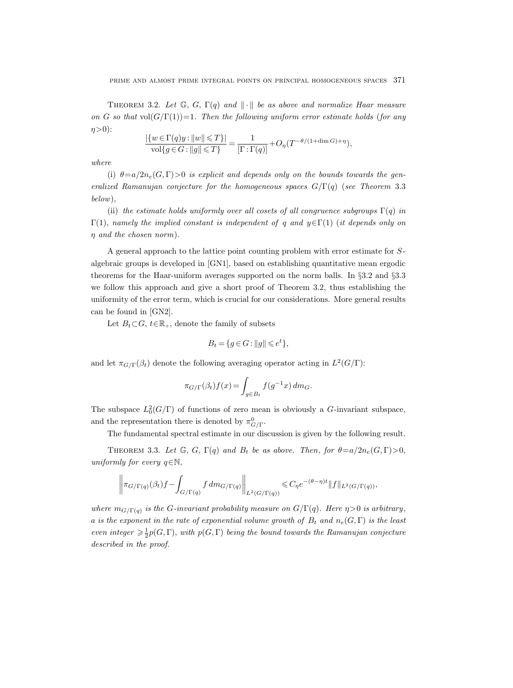THEOREM 3.2. Let  $\mathbb{G}, G, \Gamma(q)$  and  $\|\cdot\|$  be as above and normalize Haar measure on G so that vol $(G/\Gamma(1))=1$ . Then the following uniform error estimate holds (for any  $\eta$ >0):

$$
\frac{|\{w \in \Gamma(q)y : ||w|| \leq T\}|}{\text{vol}\{g \in G : ||g|| \leq T\}} = \frac{1}{[\Gamma : \Gamma(q)]} + O_{\eta}(T^{-\theta/(1 + \dim G) + \eta}),
$$

where

(i)  $\theta = a/2n_e(G, \Gamma) > 0$  is explicit and depends only on the bounds towards the generalized Ramanujan conjecture for the homogeneous spaces  $G/\Gamma(q)$  (see Theorem 3.3 below),

(ii) the estimate holds uniformly over all cosets of all congruence subgroups  $\Gamma(q)$  in  $Γ(1)$ , namely the implied constant is independent of q and  $y ∈ Γ(1)$  (it depends only on η and the chosen norm).

A general approach to the lattice point counting problem with error estimate for Salgebraic groups is developed in [GN1], based on establishing quantitative mean ergodic theorems for the Haar-uniform averages supported on the norm balls. In §3.2 and §3.3 we follow this approach and give a short proof of Theorem 3.2, thus establishing the uniformity of the error term, which is crucial for our considerations. More general results can be found in [GN2].

Let  $B_t \subset G$ ,  $t \in \mathbb{R}_+$ , denote the family of subsets

$$
B_t = \{ g \in G : ||g|| \leqslant e^t \},\
$$

and let  $\pi_{G/\Gamma}(\beta_t)$  denote the following averaging operator acting in  $L^2(G/\Gamma)$ :

$$
\pi_{G/\Gamma}(\beta_t)f(x) = \int_{g \in B_t} f(g^{-1}x) \, dm_G.
$$

The subspace  $L_0^2(G/\Gamma)$  of functions of zero mean is obviously a G-invariant subspace, and the representation there is denoted by  $\pi^0_{G/\Gamma}$ .

The fundamental spectral estimate in our discussion is given by the following result.

THEOREM 3.3. Let  $\mathbb{G}, G, \Gamma(q)$  and  $B_t$  be as above. Then, for  $\theta = a/2n_e(G, \Gamma) > 0$ , uniformly for every  $q \in \mathbb{N}$ ,

$$
\left\|\pi_{G/\Gamma(q)}(\beta_t)f - \int_{G/\Gamma(q)} f dm_{G/\Gamma(q)}\right\|_{L^2(G/\Gamma(q))} \leq C_\eta e^{-(\theta - \eta)t} \|f\|_{L^2(G/\Gamma(q))},
$$

where  $m_{G/\Gamma(q)}$  is the G-invariant probability measure on  $G/\Gamma(q)$ . Here  $\eta > 0$  is arbitrary, a is the exponent in the rate of exponential volume growth of  $B_t$  and  $n_e(G, \Gamma)$  is the least even integer  $\geq \frac{1}{2}p(G,\Gamma)$ , with  $p(G,\Gamma)$  being the bound towards the Ramanujan conjecture described in the proof.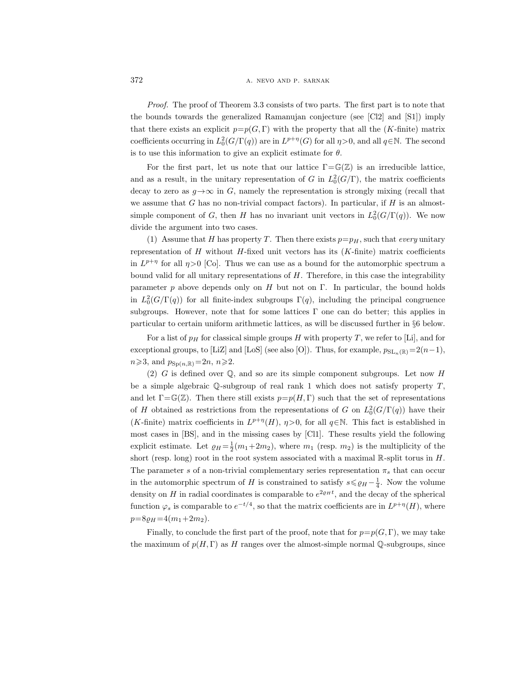Proof. The proof of Theorem 3.3 consists of two parts. The first part is to note that the bounds towards the generalized Ramanujan conjecture (see [Cl2] and [S1]) imply that there exists an explicit  $p=p(G,\Gamma)$  with the property that all the (K-finite) matrix coefficients occurring in  $L_0^2(G/\Gamma(q))$  are in  $L^{p+\eta}(G)$  for all  $\eta > 0$ , and all  $q \in \mathbb{N}$ . The second is to use this information to give an explicit estimate for  $\theta$ .

For the first part, let us note that our lattice  $\Gamma = \mathbb{G}(\mathbb{Z})$  is an irreducible lattice, and as a result, in the unitary representation of G in  $L_0^2(G/\Gamma)$ , the matrix coefficients decay to zero as  $g \rightarrow \infty$  in G, namely the representation is strongly mixing (recall that we assume that G has no non-trivial compact factors). In particular, if  $H$  is an almostsimple component of G, then H has no invariant unit vectors in  $L_0^2(G/\Gamma(q))$ . We now divide the argument into two cases.

(1) Assume that H has property T. Then there exists  $p=p_H$ , such that every unitary representation of H without H-fixed unit vectors has its  $(K\text{-finite})$  matrix coefficients in  $L^{p+\eta}$  for all  $\eta > 0$  [Co]. Thus we can use as a bound for the automorphic spectrum a bound valid for all unitary representations of  $H$ . Therefore, in this case the integrability parameter p above depends only on H but not on Γ. In particular, the bound holds in  $L_0^2(G/\Gamma(q))$  for all finite-index subgroups  $\Gamma(q)$ , including the principal congruence subgroups. However, note that for some lattices  $\Gamma$  one can do better; this applies in particular to certain uniform arithmetic lattices, as will be discussed further in §6 below.

For a list of  $p_H$  for classical simple groups H with property T, we refer to [Li], and for exceptional groups, to [LiZ] and [LoS] (see also [O]). Thus, for example,  $p_{SL_n(\mathbb{R})}=2(n-1)$ ,  $n \geqslant 3$ , and  $p_{\text{Sp}(n,\mathbb{R})}=2n, n \geqslant 2$ .

(2) G is defined over  $\mathbb{Q}$ , and so are its simple component subgroups. Let now H be a simple algebraic  $\mathbb Q$ -subgroup of real rank 1 which does not satisfy property  $T$ . and let  $\Gamma = \mathbb{G}(\mathbb{Z})$ . Then there still exists  $p=p(H, \Gamma)$  such that the set of representations of H obtained as restrictions from the representations of G on  $L_0^2(G/\Gamma(q))$  have their (*K*-finite) matrix coefficients in  $L^{p+\eta}(H)$ ,  $\eta > 0$ , for all  $q \in \mathbb{N}$ . This fact is established in most cases in [BS], and in the missing cases by [Cl1]. These results yield the following explicit estimate. Let  $\varrho_H = \frac{1}{2}(m_1 + 2m_2)$ , where  $m_1$  (resp.  $m_2$ ) is the multiplicity of the short (resp. long) root in the root system associated with a maximal  $\mathbb{R}$ -split torus in H. The parameter s of a non-trivial complementary series representation  $\pi_s$  that can occur in the automorphic spectrum of H is constrained to satisfy  $s \leq \varrho_H - \frac{1}{4}$ . Now the volume density on H in radial coordinates is comparable to  $e^{2\varrho_H t}$ , and the decay of the spherical function  $\varphi_s$  is comparable to  $e^{-t/4}$ , so that the matrix coefficients are in  $L^{p+\eta}(H)$ , where  $p=8\rho_H = 4(m_1+2m_2).$ 

Finally, to conclude the first part of the proof, note that for  $p=p(G,\Gamma)$ , we may take the maximum of  $p(H, \Gamma)$  as H ranges over the almost-simple normal Q-subgroups, since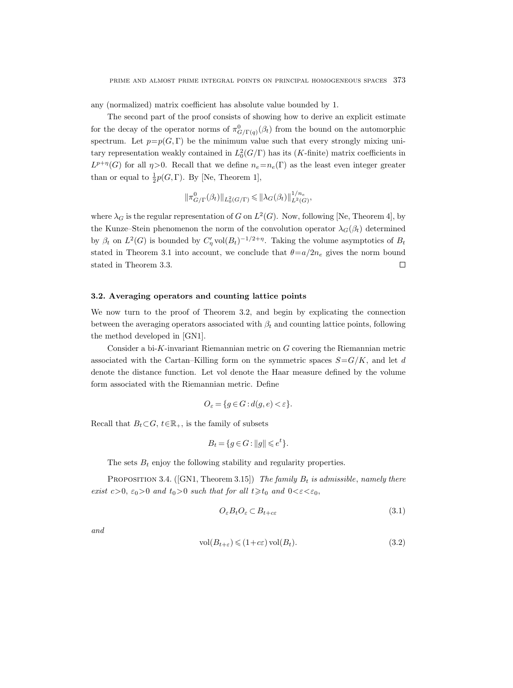any (normalized) matrix coefficient has absolute value bounded by 1.

The second part of the proof consists of showing how to derive an explicit estimate for the decay of the operator norms of  $\pi^0_{G/\Gamma(q)}(\beta_t)$  from the bound on the automorphic spectrum. Let  $p=p(G,\Gamma)$  be the minimum value such that every strongly mixing unitary representation weakly contained in  $L_0^2(G/\Gamma)$  has its (K-finite) matrix coefficients in  $L^{p+\eta}(G)$  for all  $\eta > 0$ . Recall that we define  $n_e = n_e(\Gamma)$  as the least even integer greater than or equal to  $\frac{1}{2}p(G,\Gamma)$ . By [Ne, Theorem 1],

$$
\|\pi_{G/\Gamma}^0(\beta_t)\|_{L_0^2(G/\Gamma)} \leqslant \|\lambda_G(\beta_t)\|_{L^2(G)}^{1/n_e},
$$

where  $\lambda_G$  is the regular representation of G on  $L^2(G)$ . Now, following [Ne, Theorem 4], by the Kunze–Stein phenomenon the norm of the convolution operator  $\lambda_G(\beta_t)$  determined by  $\beta_t$  on  $L^2(G)$  is bounded by  $C'_\eta \text{vol}(B_t)^{-1/2+\eta}$ . Taking the volume asymptotics of  $B_t$ stated in Theorem 3.1 into account, we conclude that  $\theta = a/2n_e$  gives the norm bound stated in Theorem 3.3.  $\Box$ 

#### 3.2. Averaging operators and counting lattice points

We now turn to the proof of Theorem 3.2, and begin by explicating the connection between the averaging operators associated with  $\beta_t$  and counting lattice points, following the method developed in [GN1].

Consider a bi-K-invariant Riemannian metric on G covering the Riemannian metric associated with the Cartan–Killing form on the symmetric spaces  $S = G/K$ , and let d denote the distance function. Let vol denote the Haar measure defined by the volume form associated with the Riemannian metric. Define

$$
O_{\varepsilon} = \{ g \in G : d(g, e) < \varepsilon \}.
$$

Recall that  $B_t \subset G$ ,  $t \in \mathbb{R}_+$ , is the family of subsets

$$
B_t = \{ g \in G : ||g|| \leqslant e^t \}.
$$

The sets  $B_t$  enjoy the following stability and regularity properties.

PROPOSITION 3.4. ([GN1, Theorem 3.15]) The family  $B_t$  is admissible, namely there exist  $c>0$ ,  $\varepsilon_0>0$  and  $t_0>0$  such that for all  $t\geq t_0$  and  $0<\varepsilon<\varepsilon_0$ ,

$$
O_{\varepsilon}B_tO_{\varepsilon} \subset B_{t+c\varepsilon} \tag{3.1}
$$

and

$$
\text{vol}(B_{t+\varepsilon}) \leq (1+c\varepsilon)\,\text{vol}(B_t). \tag{3.2}
$$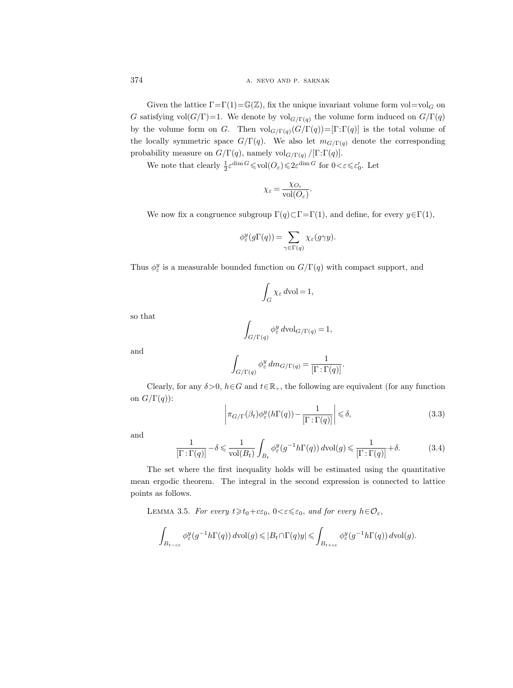Given the lattice  $\Gamma = \Gamma(1) = \mathbb{G}(\mathbb{Z})$ , fix the unique invariant volume form vol=vol<sub>G</sub> on G satisfying vol $(G/\Gamma)=1$ . We denote by vol<sub>G/Γ(q)</sub> the volume form induced on  $G/\Gamma(q)$ by the volume form on G. Then  $\text{vol}_{G/\Gamma(q)}(G/\Gamma(q))=[\Gamma:\Gamma(q)]$  is the total volume of the locally symmetric space  $G/\Gamma(q)$ . We also let  $m_{G/\Gamma(q)}$  denote the corresponding probability measure on  $G/\Gamma(q)$ , namely vol $_{G/\Gamma(q)}/[\Gamma:\Gamma(q)]$ .

We note that clearly  $\frac{1}{2} \varepsilon^{\dim G} \leqslant \text{vol}(O_{\varepsilon}) \leqslant 2 \varepsilon^{\dim G}$  for  $0 \leqslant \varepsilon \leqslant \varepsilon_0'$ . Let

$$
\chi_{\varepsilon} = \frac{\chi_{O_{\varepsilon}}}{\text{vol}(O_{\varepsilon})}.
$$

We now fix a congruence subgroup  $\Gamma(q) \subset \Gamma = \Gamma(1)$ , and define, for every  $y \in \Gamma(1)$ ,

$$
\phi_{\varepsilon}^{y}(g\Gamma(q)) = \sum_{\gamma \in \Gamma(q)} \chi_{\varepsilon}(g\gamma y).
$$

Thus  $\phi_{\varepsilon}^{y}$  is a measurable bounded function on  $G/\Gamma(q)$  with compact support, and

$$
\int_G \chi_{\varepsilon} d\mathrm{vol} = 1,
$$

so that

$$
\int_{G/\Gamma(q)} \phi_{\varepsilon}^y \, d\text{vol}_{G/\Gamma(q)} = 1,
$$

and

$$
\int_{G/\Gamma(q)} \phi^y_{\varepsilon} \, dm_{G/\Gamma(q)} = \frac{1}{[\Gamma : \Gamma(q)]}.
$$

Clearly, for any  $\delta > 0$ ,  $h \in G$  and  $t \in \mathbb{R}_+$ , the following are equivalent (for any function on  $G/\Gamma(q)$ :

$$
\left| \pi_{G/\Gamma}(\beta_t) \phi_{\varepsilon}^y(h\Gamma(q)) - \frac{1}{[\Gamma : \Gamma(q)]} \right| \le \delta,
$$
\n(3.3)

and

$$
\frac{1}{\left[\Gamma:\Gamma(q)\right]} - \delta \leq \frac{1}{\text{vol}(B_t)} \int_{B_t} \phi_{\varepsilon}^y(g^{-1}h\Gamma(q)) \, d\text{vol}(g) \leq \frac{1}{\left[\Gamma:\Gamma(q)\right]} + \delta. \tag{3.4}
$$

The set where the first inequality holds will be estimated using the quantitative mean ergodic theorem. The integral in the second expression is connected to lattice points as follows.

LEMMA 3.5. For every  $t \geq t_0+c\epsilon_0$ ,  $0<\epsilon \leq \epsilon_0$ , and for every  $h \in \mathcal{O}_{\epsilon}$ ,

$$
\int_{B_{t-\epsilon\varepsilon}} \phi_\varepsilon^y(g^{-1}h\Gamma(q))\,d\mathrm{vol}(g) \leqslant |B_t \cap \Gamma(q)y| \leqslant \int_{B_{t+\epsilon\varepsilon}} \phi_\varepsilon^y(g^{-1}h\Gamma(q))\,d\mathrm{vol}(g).
$$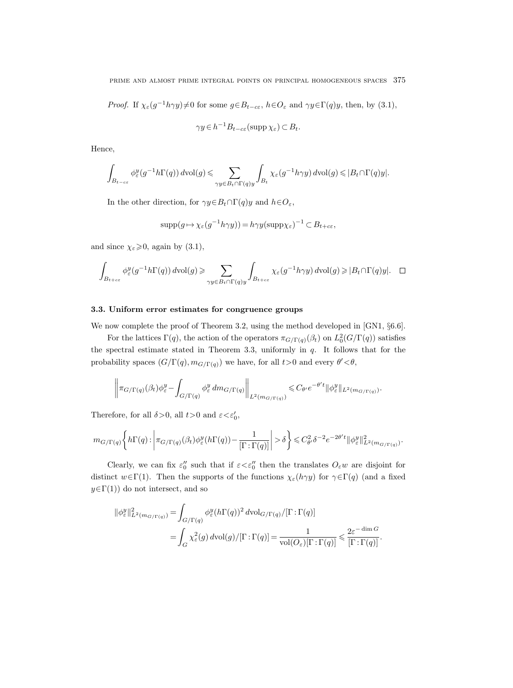*Proof.* If  $\chi_{\varepsilon}(g^{-1}h\gamma y)\neq 0$  for some  $g \in B_{t-c\varepsilon}$ ,  $h \in O_{\varepsilon}$  and  $\gamma y \in \Gamma(q)y$ , then, by (3.1),

$$
\gamma y \in h^{-1} B_{t-c\varepsilon}(\text{supp}\,\chi_{\varepsilon}) \subset B_t.
$$

Hence,

$$
\int_{B_{t-c\varepsilon}}\phi_\varepsilon^y(g^{-1}h\Gamma(q))\,d{\rm vol}(g)\leqslant \sum_{\gamma y\in B_t\cap \Gamma(q)y}\int_{B_t}\chi_\varepsilon(g^{-1}h\gamma y)\,d{\rm vol}(g)\leqslant |B_t\cap \Gamma(q)y|.
$$

In the other direction, for  $\gamma y \in B_t \cap \Gamma(q)y$  and  $h \in O_{\varepsilon}$ ,

$$
supp(g \mapsto \chi_{\varepsilon}(g^{-1}h\gamma y)) = h\gamma y(\text{supp}\chi_{\varepsilon})^{-1} \subset B_{t+c\varepsilon},
$$

and since  $\chi_{\varepsilon} \geqslant 0$ , again by (3.1),

$$
\int_{B_{t+c\varepsilon}} \phi_\varepsilon^y(g^{-1}h\Gamma(q))\,d{\rm vol}(g) \geqslant \sum_{\gamma y\in B_t\cap \Gamma(q)y} \int_{B_{t+c\varepsilon}} \chi_\varepsilon(g^{-1}h\gamma y)\,d{\rm vol}(g) \geqslant |B_t\cap \Gamma(q)y|. \quad \Box
$$

#### 3.3. Uniform error estimates for congruence groups

We now complete the proof of Theorem 3.2, using the method developed in [GN1,  $\S6.6$ ].

For the lattices  $\Gamma(q)$ , the action of the operators  $\pi_{G/\Gamma(q)}(\beta_t)$  on  $L_0^2(G/\Gamma(q))$  satisfies the spectral estimate stated in Theorem 3.3, uniformly in  $q$ . It follows that for the probability spaces  $(G/\Gamma(q), m_{G/\Gamma(q)})$  we have, for all  $t>0$  and every  $\theta' < \theta$ ,

$$
\left\|\pi_{G/\Gamma(q)}(\beta_t)\phi_{\varepsilon}^y - \int_{G/\Gamma(q)} \phi_{\varepsilon}^y dm_{G/\Gamma(q)}\right\|_{L^2(m_{G/\Gamma(q)})} \leq C_{\theta'} e^{-\theta' t} \|\phi_{\varepsilon}^y\|_{L^2(m_{G/\Gamma(q)})}.
$$

Therefore, for all  $\delta > 0$ , all  $t > 0$  and  $\varepsilon < \varepsilon'_0$ ,

$$
m_{G/\Gamma(q)}\bigg\{h\Gamma(q)\colon\bigg|\pi_{G/\Gamma(q)}(\beta_t)\phi_\varepsilon^y(h\Gamma(q))-\frac{1}{[\Gamma:\Gamma(q)]}\bigg|>\delta\bigg\}\leqslant C_{\theta'}^2\delta^{-2}e^{-2\theta't}\|\phi_\varepsilon^y\|_{L^2(m_{G/\Gamma(q)})}^2.
$$

Clearly, we can fix  $\varepsilon_0''$  such that if  $\varepsilon < \varepsilon_0''$  then the translates  $O_\varepsilon w$  are disjoint for distinct  $w \in \Gamma(1)$ . Then the supports of the functions  $\chi_{\varepsilon}(h\gamma y)$  for  $\gamma \in \Gamma(q)$  (and a fixed  $y \in \Gamma(1)$  do not intersect, and so

$$
\begin{split} \|\phi^y_\varepsilon\|^2_{L^2(m_{G/\Gamma(q)})} &= \int_{G/\Gamma(q)} \phi^y_\varepsilon(h\Gamma(q))^2 \, d\text{\rm vol}_{G/\Gamma(q)}/[\Gamma:\Gamma(q)] \\ &= \int_G \chi^2_\varepsilon(g) \, d\text{\rm vol}(g)/[\Gamma:\Gamma(q)] = \frac{1}{\text{\rm vol}(O_\varepsilon)[\Gamma:\Gamma(q)]} \leqslant \frac{2\varepsilon^{-\dim G}}{[\Gamma:\Gamma(q)]}. \end{split}
$$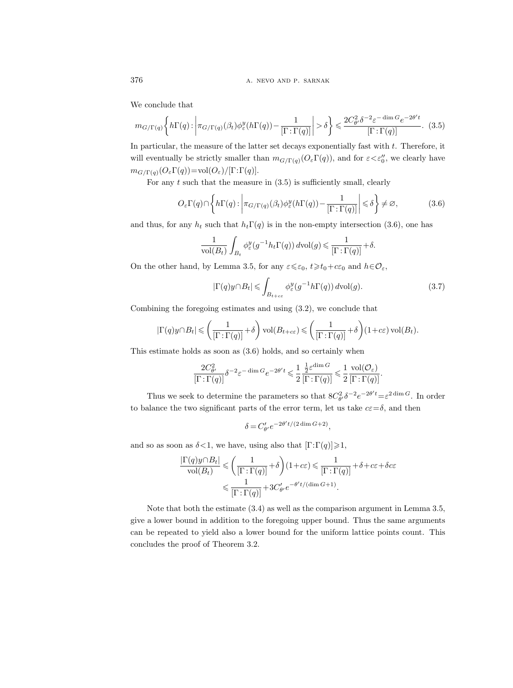We conclude that

$$
m_{G/\Gamma(q)}\left\{h\Gamma(q):\left|\pi_{G/\Gamma(q)}(\beta_t)\phi_{\varepsilon}^y(h\Gamma(q)) - \frac{1}{[\Gamma:\Gamma(q)]}\right| > \delta\right\} \leq \frac{2C_{\theta'}^2\delta^{-2}\varepsilon^{-\dim G}e^{-2\theta't}}{[\Gamma:\Gamma(q)]}. \tag{3.5}
$$

In particular, the measure of the latter set decays exponentially fast with  $t$ . Therefore, it will eventually be strictly smaller than  $m_{G/\Gamma(q)}(O_\varepsilon \Gamma(q))$ , and for  $\varepsilon < \varepsilon_0''$ , we clearly have  $m_{G/\Gamma(q)}(O_{\varepsilon}\Gamma(q))=vol(O_{\varepsilon})/[\Gamma:\Gamma(q)].$ 

For any  $t$  such that the measure in  $(3.5)$  is sufficiently small, clearly

$$
O_{\varepsilon}\Gamma(q)\cap\left\{h\Gamma(q):\left|\pi_{G/\Gamma(q)}(\beta_t)\phi_{\varepsilon}^y(h\Gamma(q))-\frac{1}{[\Gamma:\Gamma(q)]}\right|\leqslant\delta\right\}\neq\varnothing,\tag{3.6}
$$

and thus, for any  $h_t$  such that  $h_t\Gamma(q)$  is in the non-empty intersection (3.6), one has

$$
\frac{1}{\text{vol}(B_t)} \int_{B_t} \phi_{\varepsilon}^y(g^{-1}h_t \Gamma(q)) d\text{vol}(g) \leq \frac{1}{[\Gamma : \Gamma(q)]} + \delta.
$$

On the other hand, by Lemma 3.5, for any  $\varepsilon \leq \varepsilon_0$ ,  $t \geq t_0+c\varepsilon_0$  and  $h \in \mathcal{O}_{\varepsilon}$ ,

$$
|\Gamma(q)y \cap B_t| \leqslant \int_{B_{t+c\varepsilon}} \phi_\varepsilon^y(g^{-1}h\Gamma(q)) \, d\text{vol}(g). \tag{3.7}
$$

Combining the foregoing estimates and using (3.2), we conclude that

$$
|\Gamma(q)y \cap B_t| \leqslant \left(\frac{1}{[\Gamma:\Gamma(q)]} + \delta\right) \text{vol}(B_{t+c\varepsilon}) \leqslant \left(\frac{1}{[\Gamma:\Gamma(q)]} + \delta\right) (1+c\varepsilon) \text{vol}(B_t).
$$

This estimate holds as soon as (3.6) holds, and so certainly when

$$
\frac{2C^2_{\theta'}}{\left[\Gamma:\Gamma(q)\right]}\delta^{-2}\varepsilon^{-\dim G}e^{-2\theta' t}\leqslant \frac{1}{2}\frac{\frac{1}{2}\varepsilon^{\dim G}}{\left[\Gamma:\Gamma(q)\right]}\leqslant \frac{1}{2}\frac{\mathrm{vol}(\mathcal{O}_{\varepsilon})}{\left[\Gamma:\Gamma(q)\right]}.
$$

Thus we seek to determine the parameters so that  $8C_{\theta}^2 \delta^{-2} e^{-2\theta' t} = \varepsilon^{2 \dim G}$ . In order to balance the two significant parts of the error term, let us take  $c\epsilon = \delta$ , and then

$$
\delta = C'_{\theta'} e^{-2\theta' t/(2\dim G + 2)},
$$

and so as soon as  $\delta < 1$ , we have, using also that  $[\Gamma:\Gamma(q)] \geq 1$ ,

$$
\frac{|\Gamma(q)y \cap B_t|}{\text{vol}(B_t)} \leqslant \left(\frac{1}{[\Gamma : \Gamma(q)]} + \delta\right) (1 + c\varepsilon) \leqslant \frac{1}{[\Gamma : \Gamma(q)]} + \delta + c\varepsilon + \delta c\varepsilon
$$

$$
\leqslant \frac{1}{[\Gamma : \Gamma(q)]} + 3C'_{\theta'} e^{-\theta' t/(\dim G + 1)}.
$$

Note that both the estimate (3.4) as well as the comparison argument in Lemma 3.5, give a lower bound in addition to the foregoing upper bound. Thus the same arguments can be repeated to yield also a lower bound for the uniform lattice points count. This concludes the proof of Theorem 3.2.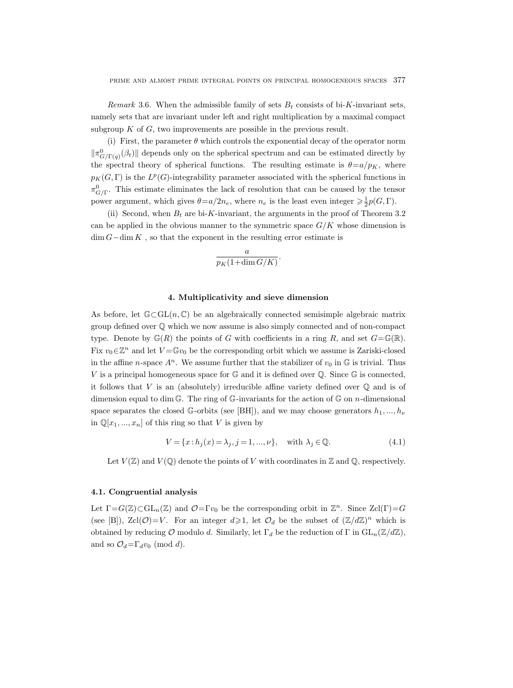Remark 3.6. When the admissible family of sets  $B_t$  consists of bi-K-invariant sets, namely sets that are invariant under left and right multiplication by a maximal compact subgroup  $K$  of  $G$ , two improvements are possible in the previous result.

(i) First, the parameter  $\theta$  which controls the exponential decay of the operator norm  $\|\pi^0_{G/\Gamma(q)}(\beta_t)\|$  depends only on the spherical spectrum and can be estimated directly by the spectral theory of spherical functions. The resulting estimate is  $\theta = a/p_K$ , where  $p_K(G,\Gamma)$  is the  $L^p(G)$ -integrability parameter associated with the spherical functions in  $\pi_{G/\Gamma}^0$ . This estimate eliminates the lack of resolution that can be caused by the tensor power argument, which gives  $\theta = a/2n_e$ , where  $n_e$  is the least even integer  $\geq \frac{1}{2}p(G,\Gamma)$ .

(ii) Second, when  $B_t$  are bi-K-invariant, the arguments in the proof of Theorem 3.2 can be applied in the obvious manner to the symmetric space  $G/K$  whose dimension is  $\dim G-\dim K$ , so that the exponent in the resulting error estimate is

$$
\frac{a}{p_K(1+\dim G/K)}.
$$

### 4. Multiplicativity and sieve dimension

As before, let  $\mathbb{G}\subset GL(n,\mathbb{C})$  be an algebraically connected semisimple algebraic matrix group defined over Q which we now assume is also simply connected and of non-compact type. Denote by  $\mathbb{G}(R)$  the points of G with coefficients in a ring R, and set  $G = \mathbb{G}(\mathbb{R})$ . Fix  $v_0 \in \mathbb{Z}^n$  and let  $V = \mathbb{G}v_0$  be the corresponding orbit which we assume is Zariski-closed in the affine *n*-space  $A^n$ . We assume further that the stabilizer of  $v_0$  in  $\mathbb{G}$  is trivial. Thus V is a principal homogeneous space for  $\mathbb{G}$  and it is defined over  $\mathbb{Q}$ . Since  $\mathbb{G}$  is connected, it follows that  $V$  is an (absolutely) irreducible affine variety defined over  $\mathbb Q$  and is of dimension equal to dim G. The ring of G-invariants for the action of G on n-dimensional space separates the closed G-orbits (see [BH]), and we may choose generators  $h_1, ..., h_\nu$ in  $\mathbb{Q}[x_1, ..., x_n]$  of this ring so that V is given by

$$
V = \{x : h_j(x) = \lambda_j, j = 1, ..., \nu\}, \text{ with } \lambda_j \in \mathbb{Q}.
$$
 (4.1)

Let  $V(\mathbb{Z})$  and  $V(\mathbb{Q})$  denote the points of V with coordinates in  $\mathbb{Z}$  and  $\mathbb{Q}$ , respectively.

## 4.1. Congruential analysis

Let  $\Gamma = G(\mathbb{Z}) \subset GL_n(\mathbb{Z})$  and  $\mathcal{O} = \Gamma v_0$  be the corresponding orbit in  $\mathbb{Z}^n$ . Since  $Zcl(\Gamma) = G$ (see [B]), Zcl( $\mathcal{O}$ )=V. For an integer  $d \geq 1$ , let  $\mathcal{O}_d$  be the subset of  $(\mathbb{Z}/d\mathbb{Z})^n$  which is obtained by reducing O modulo d. Similarly, let  $\Gamma_d$  be the reduction of  $\Gamma$  in  $GL_n(\mathbb{Z}/d\mathbb{Z})$ , and so  $\mathcal{O}_d = \Gamma_d v_0 \pmod{d}$ .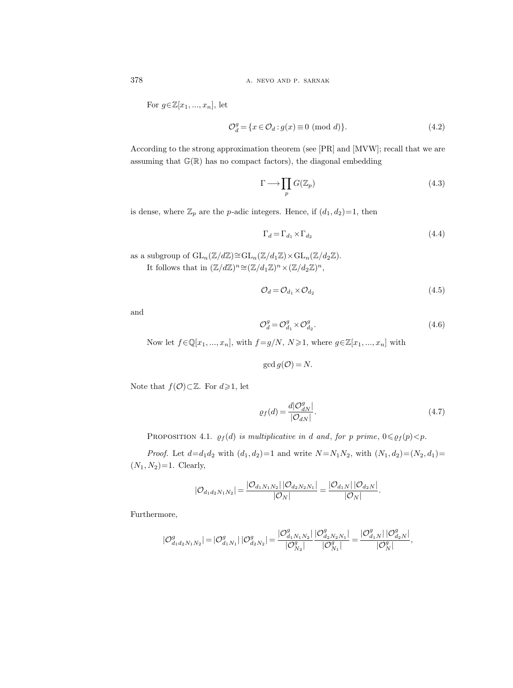378 **a.** NEVO AND P. SARNAK

For  $g \in \mathbb{Z}[x_1, ..., x_n]$ , let

$$
\mathcal{O}_d^g = \{ x \in \mathcal{O}_d : g(x) \equiv 0 \pmod{d} \}. \tag{4.2}
$$

According to the strong approximation theorem (see [PR] and [MVW]; recall that we are assuming that  $\mathbb{G}(\mathbb{R})$  has no compact factors), the diagonal embedding

$$
\Gamma \longrightarrow \prod_p G(\mathbb{Z}_p) \tag{4.3}
$$

is dense, where  $\mathbb{Z}_p$  are the p-adic integers. Hence, if  $(d_1, d_2)=1$ , then

$$
\Gamma_d = \Gamma_{d_1} \times \Gamma_{d_2} \tag{4.4}
$$

as a subgroup of  $GL_n(\mathbb{Z}/d\mathbb{Z})\cong GL_n(\mathbb{Z}/d_1\mathbb{Z})\times GL_n(\mathbb{Z}/d_2\mathbb{Z})$ . It follows that in  $(\mathbb{Z}/d\mathbb{Z})^n \cong (\mathbb{Z}/d_1\mathbb{Z})^n \times (\mathbb{Z}/d_2\mathbb{Z})^n$ ,

$$
\mathcal{O}_d = \mathcal{O}_{d_1} \times \mathcal{O}_{d_2} \tag{4.5}
$$

and

$$
\mathcal{O}_d^g = \mathcal{O}_{d_1}^g \times \mathcal{O}_{d_2}^g. \tag{4.6}
$$

Now let  $f \in \mathbb{Q}[x_1, ..., x_n]$ , with  $f = g/N$ ,  $N \geq 1$ , where  $g \in \mathbb{Z}[x_1, ..., x_n]$  with

 $\gcd g(\mathcal{O}) = N$ .

Note that  $f(\mathcal{O})\subset\mathbb{Z}$ . For  $d\geqslant 1$ , let

$$
\varrho_f(d) = \frac{d|\mathcal{O}_{dN}^g|}{|\mathcal{O}_{dN}|}.\tag{4.7}
$$

PROPOSITION 4.1.  $\varrho_f(d)$  is multiplicative in d and, for p prime,  $0 \leq \varrho_f(p) < p$ .

*Proof.* Let  $d=d_1d_2$  with  $(d_1, d_2)=1$  and write  $N = N_1N_2$ , with  $(N_1, d_2)=(N_2, d_1)=$  $(N_1, N_2) = 1$ . Clearly,

$$
|\mathcal{O}_{d_1d_2N_1N_2}|=\frac{|\mathcal{O}_{d_1N_1N_2}|\,|\mathcal{O}_{d_2N_2N_1}|}{|\mathcal{O}_N|}=\frac{|\mathcal{O}_{d_1N}|\,|\mathcal{O}_{d_2N}|}{|\mathcal{O}_N|}.
$$

Furthermore,

$$
|\mathcal{O}_{d_1d_2N_1N_2}^g|=|\mathcal{O}_{d_1N_1}^g|\,|\mathcal{O}_{d_2N_2}^g|=\frac{|\mathcal{O}_{d_1N_1N_2}^g|}{|\mathcal{O}_{N_2}^g|}\frac{|\mathcal{O}_{d_2N_2N_1}^g|}{|\mathcal{O}_{N_1}^g|}=\frac{|\mathcal{O}_{d_1N}^g|\,|\mathcal{O}_{d_2N}^g|}{|\mathcal{O}_{N}^g|},
$$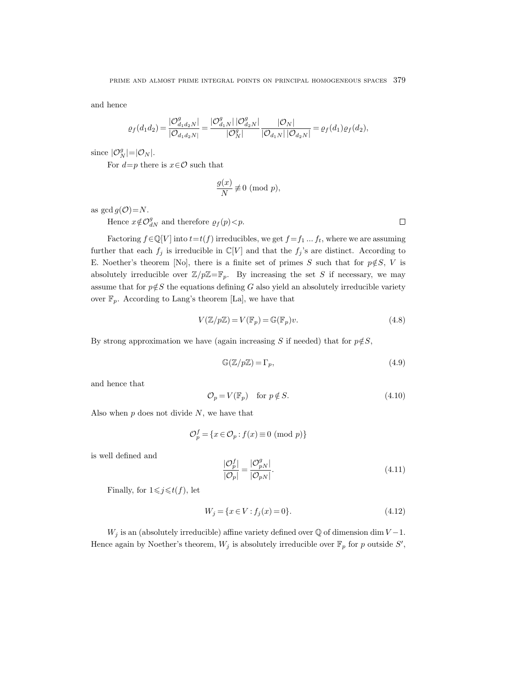and hence

$$
\varrho_f(d_1d_2) = \frac{|\mathcal{O}_{d_1d_2N}^g|}{|\mathcal{O}_{d_1d_2N}|} = \frac{|\mathcal{O}_{d_1N}^g| |\mathcal{O}_{d_2N}^g|}{|\mathcal{O}_N^g|} \frac{|\mathcal{O}_N|}{|\mathcal{O}_{d_1N}| |\mathcal{O}_{d_2N}|} = \varrho_f(d_1)\varrho_f(d_2),
$$

since  $|\mathcal{O}_N^g| = |\mathcal{O}_N|$ .

For  $d=p$  there is  $x \in \mathcal{O}$  such that

$$
\frac{g(x)}{N} \not\equiv 0 \pmod{p},
$$

as gcd  $g(\mathcal{O})=N$ .

Hence  $x \notin \mathcal{O}_{dN}^g$  and therefore  $\varrho_f(p) < p$ .

Factoring  $f \in \mathbb{Q}[V]$  into  $t = t(f)$  irreducibles, we get  $f = f_1 ... f_t$ , where we are assuming further that each  $f_j$  is irreducible in  $\mathbb{C}[V]$  and that the  $f_j$ 's are distinct. According to E. Noether's theorem [No], there is a finite set of primes S such that for  $p \notin S$ , V is absolutely irreducible over  $\mathbb{Z}/p\mathbb{Z}=\mathbb{F}_p$ . By increasing the set S if necessary, we may assume that for  $p \notin S$  the equations defining G also yield an absolutely irreducible variety over  $\mathbb{F}_p$ . According to Lang's theorem [La], we have that

$$
V(\mathbb{Z}/p\mathbb{Z}) = V(\mathbb{F}_p) = \mathbb{G}(\mathbb{F}_p)v.
$$
\n(4.8)

By strong approximation we have (again increasing S if needed) that for  $p \notin S$ ,

$$
\mathbb{G}(\mathbb{Z}/p\mathbb{Z}) = \Gamma_p,\tag{4.9}
$$

 $\Box$ 

and hence that

$$
\mathcal{O}_p = V(\mathbb{F}_p) \quad \text{for } p \notin S. \tag{4.10}
$$

Also when  $p$  does not divide  $N$ , we have that

$$
\mathcal{O}_p^f = \{ x \in \mathcal{O}_p : f(x) \equiv 0 \pmod{p} \}
$$

is well defined and

$$
\frac{|\mathcal{O}_p^f|}{|\mathcal{O}_p|} = \frac{|\mathcal{O}_{pN}^g|}{|\mathcal{O}_{pN}|}.
$$
\n(4.11)

Finally, for  $1 \leq j \leq t(f)$ , let

$$
W_j = \{ x \in V : f_j(x) = 0 \}. \tag{4.12}
$$

 $W_i$  is an (absolutely irreducible) affine variety defined over  $\mathbb Q$  of dimension dim  $V-1$ . Hence again by Noether's theorem,  $W_j$  is absolutely irreducible over  $\mathbb{F}_p$  for p outside  $S'$ ,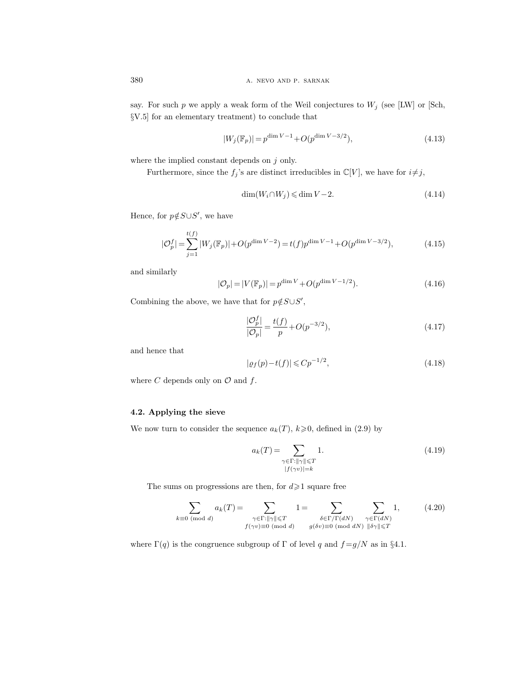say. For such p we apply a weak form of the Weil conjectures to  $W_j$  (see [LW] or [Sch, §V.5] for an elementary treatment) to conclude that

$$
|W_j(\mathbb{F}_p)| = p^{\dim V - 1} + O(p^{\dim V - 3/2}),\tag{4.13}
$$

where the implied constant depends on  $j$  only.

Furthermore, since the  $f_j$ 's are distinct irreducibles in  $\mathbb{C}[V]$ , we have for  $i\neq j$ ,

$$
\dim(W_i \cap W_j) \leqslant \dim V - 2. \tag{4.14}
$$

Hence, for  $p \notin S \cup S'$ , we have

$$
|\mathcal{O}_p^f| = \sum_{j=1}^{t(f)} |W_j(\mathbb{F}_p)| + O(p^{\dim V - 2}) = t(f)p^{\dim V - 1} + O(p^{\dim V - 3/2}),\tag{4.15}
$$

and similarly

$$
|\mathcal{O}_p| = |V(\mathbb{F}_p)| = p^{\dim V} + O(p^{\dim V - 1/2}).
$$
\n(4.16)

Combining the above, we have that for  $p \notin S \cup S'$ ,

$$
\frac{|\mathcal{O}_p^f|}{|\mathcal{O}_p|} = \frac{t(f)}{p} + O(p^{-3/2}),\tag{4.17}
$$

and hence that

$$
|\varrho_f(p) - t(f)| \leqslant C p^{-1/2},\tag{4.18}
$$

where  $C$  depends only on  $\mathcal O$  and  $f$ .

# 4.2. Applying the sieve

We now turn to consider the sequence  $a_k(T)$ ,  $k \geq 0$ , defined in (2.9) by

$$
a_k(T) = \sum_{\substack{\gamma \in \Gamma : \|\gamma\| \le T \\ |f(\gamma v)| = k}} 1.
$$
\n(4.19)

The sums on progressions are then, for  $d\!\geqslant\! 1$  square free

$$
\sum_{k\equiv 0 \pmod{d}} a_k(T) = \sum_{\substack{\gamma \in \Gamma : \|\gamma\| \leq T \\ f(\gamma v) \equiv 0 \pmod{d}}} 1 = \sum_{\substack{\delta \in \Gamma/\Gamma(dN) \\ g(\delta v) \equiv 0 \pmod{dN}}} \sum_{\substack{\gamma \in \Gamma(dN) \\ \|\delta\gamma\| \leq T}} 1, \tag{4.20}
$$

where  $\Gamma(q)$  is the congruence subgroup of  $\Gamma$  of level q and  $f = g/N$  as in §4.1.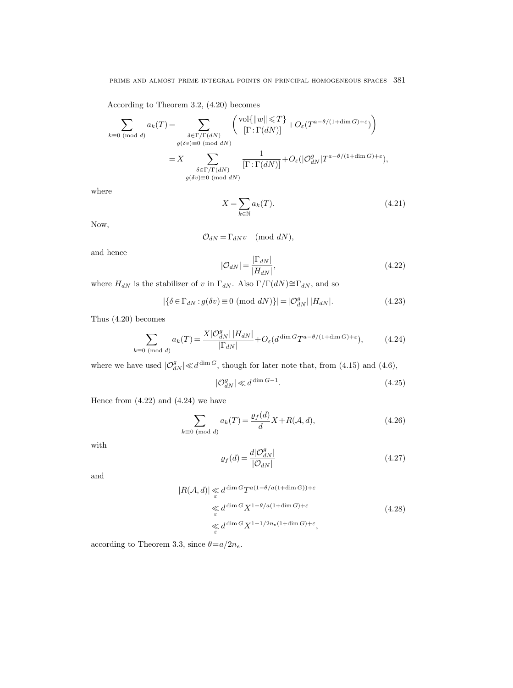According to Theorem 3.2, (4.20) becomes

$$
\sum_{k\equiv 0 \pmod{d}} a_k(T) = \sum_{\substack{\delta \in \Gamma/\Gamma(dN) \\ g(\delta v) \equiv 0 \pmod{dN} \\ \delta \in \Gamma/\Gamma(dN)}} \left( \frac{\text{vol}\{\|w\| \le T\}}{[\Gamma : \Gamma(dN)]} + O_{\varepsilon}(T^{a-\theta/(1+\dim G) + \varepsilon}) \right)
$$

$$
= X \sum_{\substack{\delta \in \Gamma/\Gamma(dN) \\ g(\delta v) \equiv 0 \pmod{dN} \\ \text{mod } dN}} \frac{1}{[\Gamma : \Gamma(dN)]} + O_{\varepsilon}(|\mathcal{O}_{dN}^g|T^{a-\theta/(1+\dim G) + \varepsilon}),
$$

where

$$
X = \sum_{k \in \mathbb{N}} a_k(T). \tag{4.21}
$$

Now,

$$
\mathcal{O}_{dN} = \Gamma_{dN} v \pmod{dN},
$$

and hence

$$
|\mathcal{O}_{dN}| = \frac{|\Gamma_{dN}|}{|H_{dN}|},\tag{4.22}
$$

where  $H_{dN}$  is the stabilizer of v in  $\Gamma_{dN}$ . Also  $\Gamma/\Gamma(dN) \cong \Gamma_{dN}$ , and so

$$
|\{\delta \in \Gamma_{dN} : g(\delta v) \equiv 0 \pmod{dN}\}| = |\mathcal{O}_{dN}^g| |H_{dN}|.
$$
 (4.23)

Thus (4.20) becomes

$$
\sum_{k\equiv 0\;(\text{mod }d)} a_k(T) = \frac{X|\mathcal{O}_{dN}^g|\,|H_{dN}|}{|\Gamma_{dN}|} + O_{\varepsilon}(d^{\dim G}T^{a-\theta/(1+\dim G)+\varepsilon}),\tag{4.24}
$$

where we have used  $|O_{dN}^g| \ll d^{\dim G}$ , though for later note that, from (4.15) and (4.6),

$$
|\mathcal{O}_{dN}^g| \ll d^{\dim G - 1}.\tag{4.25}
$$

Hence from  $(4.22)$  and  $(4.24)$  we have

$$
\sum_{k\equiv 0 \pmod{d}} a_k(T) = \frac{\varrho_f(d)}{d} X + R(\mathcal{A}, d),\tag{4.26}
$$

with

$$
\varrho_f(d) = \frac{d|\mathcal{O}_{dN}^g|}{|\mathcal{O}_{dN}|} \tag{4.27}
$$

and

$$
|R(\mathcal{A}, d)| \underset{\varepsilon}{\ll} d^{\dim G} T^{a(1 - \theta/a(1 + \dim G)) + \varepsilon}
$$
  
\n
$$
\underset{\varepsilon}{\ll} d^{\dim G} X^{1 - \theta/a(1 + \dim G) + \varepsilon}
$$
  
\n
$$
\underset{\varepsilon}{\ll} d^{\dim G} X^{1 - 1/2n_e(1 + \dim G) + \varepsilon},
$$
\n(4.28)

according to Theorem 3.3, since  $\theta = a/2n_e$ .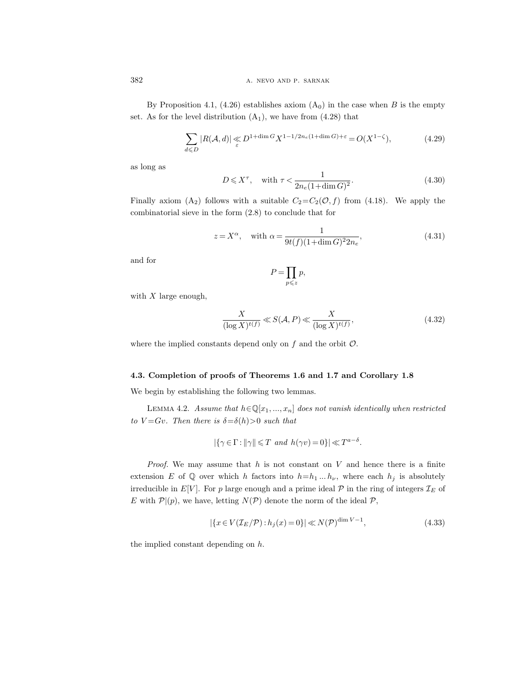By Proposition 4.1, (4.26) establishes axiom  $(A_0)$  in the case when B is the empty set. As for the level distribution  $(A_1)$ , we have from  $(4.28)$  that

$$
\sum_{d \leq D} |R(\mathcal{A}, d)| \leq D^{1 + \dim G} X^{1 - 1/2n_e(1 + \dim G) + \varepsilon} = O(X^{1 - \zeta}),
$$
\n(4.29)

as long as

$$
D \leqslant X^{\tau}, \quad \text{with } \tau < \frac{1}{2n_e(1+\dim G)^2}.\tag{4.30}
$$

Finally axiom (A<sub>2</sub>) follows with a suitable  $C_2 = C_2(\mathcal{O}, f)$  from (4.18). We apply the combinatorial sieve in the form (2.8) to conclude that for

$$
z = X^{\alpha}, \quad \text{with } \alpha = \frac{1}{9t(f)(1 + \dim G)^2 2n_e},\tag{4.31}
$$

and for

$$
P = \prod_{p \leqslant z} p,
$$

with  $X$  large enough,

$$
\frac{X}{(\log X)^{t(f)}} \ll S(\mathcal{A}, P) \ll \frac{X}{(\log X)^{t(f)}},\tag{4.32}
$$

where the implied constants depend only on  $f$  and the orbit  $\mathcal{O}$ .

### 4.3. Completion of proofs of Theorems 1.6 and 1.7 and Corollary 1.8

We begin by establishing the following two lemmas.

LEMMA 4.2. Assume that  $h \in \mathbb{Q}[x_1, ..., x_n]$  does not vanish identically when restricted to  $V = Gv$ . Then there is  $\delta = \delta(h) > 0$  such that

$$
|\{\gamma \in \Gamma : ||\gamma|| \leq T \text{ and } h(\gamma v) = 0\}| \ll T^{a-\delta}.
$$

*Proof.* We may assume that  $h$  is not constant on  $V$  and hence there is a finite extension E of Q over which h factors into  $h=h_1 ... h_{\nu}$ , where each  $h_j$  is absolutely irreducible in  $E[V]$ . For p large enough and a prime ideal P in the ring of integers  $\mathcal{I}_E$  of E with  $\mathcal{P} | (p)$ , we have, letting  $N(\mathcal{P})$  denote the norm of the ideal  $\mathcal{P}$ ,

$$
|\{x \in V(\mathcal{I}_E/\mathcal{P}) : h_j(x) = 0\}| \ll N(\mathcal{P})^{\dim V - 1},\tag{4.33}
$$

the implied constant depending on h.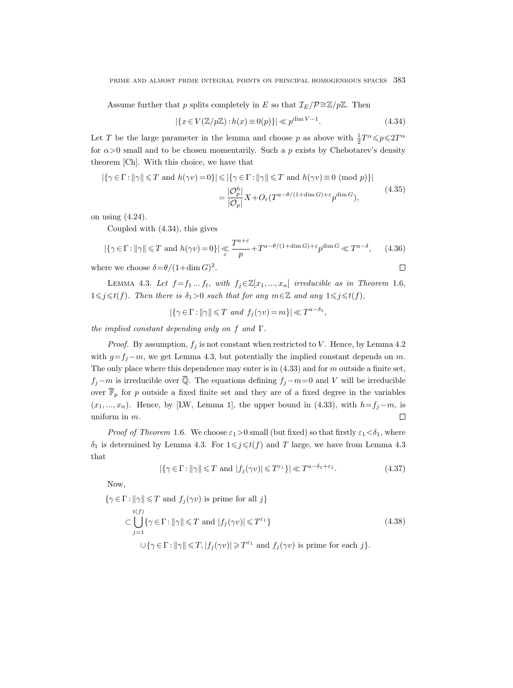prime and almost prime integral points on principal homogeneous spaces 383

Assume further that p splits completely in E so that  $\mathcal{I}_E/\mathcal{P}^{\simeq}\mathbb{Z}/p\mathbb{Z}$ . Then

$$
|\{x \in V(\mathbb{Z}/p\mathbb{Z}) : h(x) \equiv 0(p)\}| \ll p^{\dim V - 1}.
$$
\n(4.34)

 $\Box$ 

Let T be the large parameter in the lemma and choose p as above with  $\frac{1}{2}T^{\alpha} \leq p \leq 2T^{\alpha}$ for  $\alpha > 0$  small and to be chosen momentarily. Such a p exists by Chebotarev's density theorem [Ch]. With this choice, we have that

$$
\left| \{ \gamma \in \Gamma : ||\gamma|| \le T \text{ and } h(\gamma v) = 0 \} \right| \le \left| \{ \gamma \in \Gamma : ||\gamma|| \le T \text{ and } h(\gamma v) \equiv 0 \pmod{p} \} \right|
$$

$$
= \frac{|\mathcal{O}_p^h|}{|\mathcal{O}_p|} X + O_{\varepsilon} (T^{a - \theta/(1 + \dim G) + \varepsilon} p^{\dim G}), \tag{4.35}
$$

on using (4.24).

Coupled with (4.34), this gives

$$
|\{\gamma \in \Gamma : ||\gamma|| \le T \text{ and } h(\gamma v) = 0\}| \le \frac{T^{a+\varepsilon}}{p} + T^{a-\theta/(1+\dim G) + \varepsilon} p^{\dim G} \ll T^{a-\delta}, \qquad (4.36)
$$

where we choose  $\delta = \theta/(1+\dim G)^2$ .

LEMMA 4.3. Let  $f = f_1 ... f_t$ , with  $f_j \in \mathbb{Z}[x_1, ..., x_n]$  irreducible as in Theorem 1.6,  $1\leq j\leq t(f)$ . Then there is  $\delta_1>0$  such that for any  $m\in\mathbb{Z}$  and any  $1\leq j\leq t(f)$ ,

 $|\{\gamma \in \Gamma : ||\gamma|| \leq T \text{ and } f_j(\gamma v) = m\}| \ll T^{a-\delta_1},$ 

the implied constant depending only on f and Γ.

*Proof.* By assumption,  $f_j$  is not constant when restricted to V. Hence, by Lemma 4.2 with  $g=f_j-m$ , we get Lemma 4.3, but potentially the implied constant depends on m. The only place where this dependence may enter is in  $(4.33)$  and for m outside a finite set,  $f_j - m$  is irreducible over  $\overline{Q}$ . The equations defining  $f_j - m = 0$  and V will be irreducible over  $\overline{\mathbb{F}}_p$  for p outside a fixed finite set and they are of a fixed degree in the variables  $(x_1, ..., x_n)$ . Hence, by [LW, Lemma 1], the upper bound in (4.33), with  $h=f_j-m$ , is uniform in m.  $\Box$ 

*Proof of Theorem* 1.6. We choose  $\varepsilon_1>0$  small (but fixed) so that firstly  $\varepsilon_1<\delta_1$ , where  $\delta_1$  is determined by Lemma 4.3. For  $1 \leq j \leq t(f)$  and T large, we have from Lemma 4.3 that

$$
|\{\gamma \in \Gamma : ||\gamma|| \le T \text{ and } |f_j(\gamma v)| \le T^{\varepsilon_1}\}| \ll T^{a-\delta_1+\varepsilon_1}.
$$
 (4.37)

Now,

$$
\{\gamma \in \Gamma : ||\gamma|| \leq T \text{ and } f_j(\gamma v) \text{ is prime for all } j\}
$$
  
\n
$$
\subset \bigcup_{j=1}^{t(f)} \{\gamma \in \Gamma : ||\gamma|| \leq T \text{ and } |f_j(\gamma v)| \leq T^{\varepsilon_1}\}
$$
  
\n
$$
\cup \{\gamma \in \Gamma : ||\gamma|| \leq T, |f_j(\gamma v)| \geq T^{\varepsilon_1} \text{ and } f_j(\gamma v) \text{ is prime for each } j\}.
$$
\n(4.38)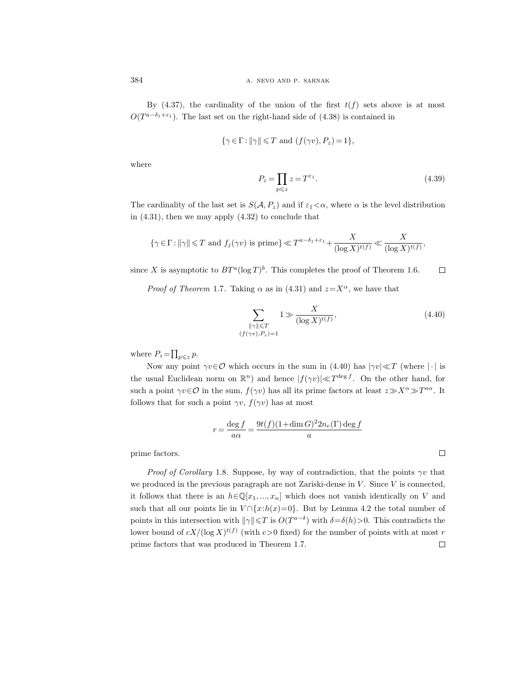By  $(4.37)$ , the cardinality of the union of the first  $t(f)$  sets above is at most  $O(T^{a-\delta_1+\epsilon_1})$ . The last set on the right-hand side of  $(4.38)$  is contained in

$$
\{\gamma \in \Gamma : ||\gamma|| \leq T \text{ and } (f(\gamma v), P_z) = 1\},\
$$

where

$$
P_z = \prod_{p \leq z} z = T^{\varepsilon_1}.
$$
\n(4.39)

The cardinality of the last set is  $S(\mathcal{A}, P_z)$  and if  $\varepsilon_1 < \alpha$ , where  $\alpha$  is the level distribution in (4.31), then we may apply (4.32) to conclude that

$$
\{\gamma\in\Gamma: \|\gamma\|\leqslant T\text{ and }f_j(\gamma v)\text{ is prime}\}\ll T^{a-\delta_1+\varepsilon_1}+\frac{X}{(\log X)^{t(f)}}\ll \frac{X}{(\log X)^{t(f)}},
$$

since X is asymptotic to  $BT^a(\log T)^b$ . This completes the proof of Theorem 1.6.  $\Box$ 

*Proof of Theorem 1.7.* Taking  $\alpha$  as in (4.31) and  $z = X^{\alpha}$ , we have that

$$
\sum_{\substack{\|\gamma\| \leq T \\ (f(\gamma v), P_z) = 1}} 1 \gg \frac{X}{(\log X)^{t(f)}},\tag{4.40}
$$

 $\Box$ 

where  $P_z = \prod_{p \leqslant z} p$ .

Now any point  $\gamma v \in \mathcal{O}$  which occurs in the sum in (4.40) has  $|\gamma v| \ll T$  (where | · | is the usual Euclidean norm on  $\mathbb{R}^n$ ) and hence  $|f(\gamma v)| \ll T^{\deg f}$ . On the other hand, for such a point  $\gamma v \in \mathcal{O}$  in the sum,  $f(\gamma v)$  has all its prime factors at least  $z \gg X^{\alpha} \gg T^{a\alpha}$ . It follows that for such a point  $\gamma v$ ,  $f(\gamma v)$  has at most

$$
r = \frac{\deg f}{a\alpha} = \frac{9t(f)(1+\dim G)^2 2n_e(\Gamma) \deg f}{a}
$$

prime factors.

*Proof of Corollary* 1.8. Suppose, by way of contradiction, that the points  $\gamma v$  that we produced in the previous paragraph are not Zariski-dense in  $V$ . Since  $V$  is connected, it follows that there is an  $h \in \mathbb{Q}[x_1, ..., x_n]$  which does not vanish identically on V and such that all our points lie in  $V \cap \{x:h(x)=0\}$ . But by Lemma 4.2 the total number of points in this intersection with  $\|\gamma\|\leq T$  is  $O(T^{a-\delta})$  with  $\delta=\delta(h)>0$ . This contradicts the lower bound of  $cX/(\log X)^{t(f)}$  (with  $c>0$  fixed) for the number of points with at most r prime factors that was produced in Theorem 1.7. $\Box$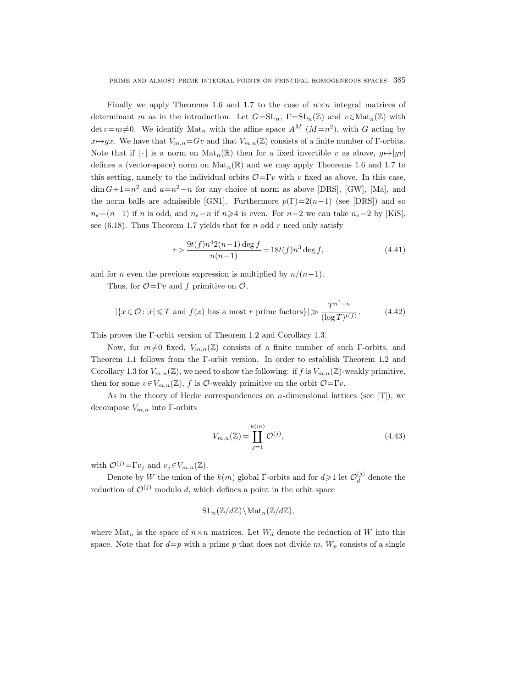Finally we apply Theorems 1.6 and 1.7 to the case of  $n \times n$  integral matrices of determinant m as in the introduction. Let  $G=\mathrm{SL}_n$ ,  $\Gamma=\mathrm{SL}_n(\mathbb{Z})$  and  $v\in\mathrm{Mat}_n(\mathbb{Z})$  with  $\det v=m\neq0$ . We identify  $\text{Mat}_n$  with the affine space  $A^M$   $(M=n^2)$ , with G acting by  $x \mapsto gx$ . We have that  $V_{m,n}=Gv$  and that  $V_{m,n}(\mathbb{Z})$  consists of a finite number of Γ-orbits. Note that if  $|\cdot|$  is a norm on  $\text{Mat}_n(\mathbb{R})$  then for a fixed invertible v as above,  $g \mapsto |gv|$ defines a (vector-space) norm on  $\text{Mat}_n(\mathbb{R})$  and we may apply Theorems 1.6 and 1.7 to this setting, namely to the individual orbits  $\mathcal{O}=\Gamma v$  with v fixed as above. In this case,  $\dim G + 1 = n^2$  and  $a = n^2 - n$  for any choice of norm as above [DRS], [GW], [Ma], and the norm balls are admissible [GN1]. Furthermore  $p(\Gamma)=2(n-1)$  (see [DRS]) and so  $n_e=(n-1)$  if n is odd, and  $n_e=n$  if  $n\geq 4$  is even. For  $n=2$  we can take  $n_e=2$  by [KiS], see (6.18). Thus Theorem 1.7 yields that for n odd r need only satisfy

$$
r > \frac{9t(f)n^4 2(n-1)\deg f}{n(n-1)} = 18t(f)n^3 \deg f,
$$
\n(4.41)

and for *n* even the previous expression is multiplied by  $n/(n-1)$ .

Thus, for  $\mathcal{O} = \Gamma v$  and f primitive on  $\mathcal{O}$ ,

$$
|\{x \in \mathcal{O} : |x| \le T \text{ and } f(x) \text{ has a most } r \text{ prime factors}\}|\gg \frac{T^{n^2-n}}{(\log T)^{t(f)}}.
$$
 (4.42)

This proves the Γ-orbit version of Theorem 1.2 and Corollary 1.3.

Now, for  $m\neq0$  fixed,  $V_{m,n}(\mathbb{Z})$  consists of a finite number of such Γ-orbits, and Theorem 1.1 follows from the Γ-orbit version. In order to establish Theorem 1.2 and Corollary 1.3 for  $V_{m,n}(\mathbb{Z})$ , we need to show the following: if f is  $V_{m,n}(\mathbb{Z})$ -weakly primitive, then for some  $v \in V_{m,n}(\mathbb{Z})$ , f is  $\mathcal{O}$ -weakly primitive on the orbit  $\mathcal{O}=\Gamma v$ .

As in the theory of Hecke correspondences on n-dimensional lattices (see [T]), we decompose  $V_{m,n}$  into Γ-orbits

$$
V_{m,n}(\mathbb{Z}) = \coprod_{j=1}^{k(m)} \mathcal{O}^{(j)},\tag{4.43}
$$

with  $\mathcal{O}^{(j)}=\Gamma v_j$  and  $v_j\in V_{m,n}(\mathbb{Z})$ .

Denote by W the union of the  $k(m)$  global Γ-orbits and for  $d \geq 1$  let  $\mathcal{O}_d^{(j)}$  $\frac{d}{d}$  denote the reduction of  $\mathcal{O}^{(j)}$  modulo d, which defines a point in the orbit space

$$
SL_n(\mathbb{Z}/d\mathbb{Z})\backslash \mathrm{Mat}_n(\mathbb{Z}/d\mathbb{Z}),
$$

where  $\text{Mat}_n$  is the space of  $n \times n$  matrices. Let  $W_d$  denote the reduction of W into this space. Note that for  $d=p$  with a prime p that does not divide m,  $W_p$  consists of a single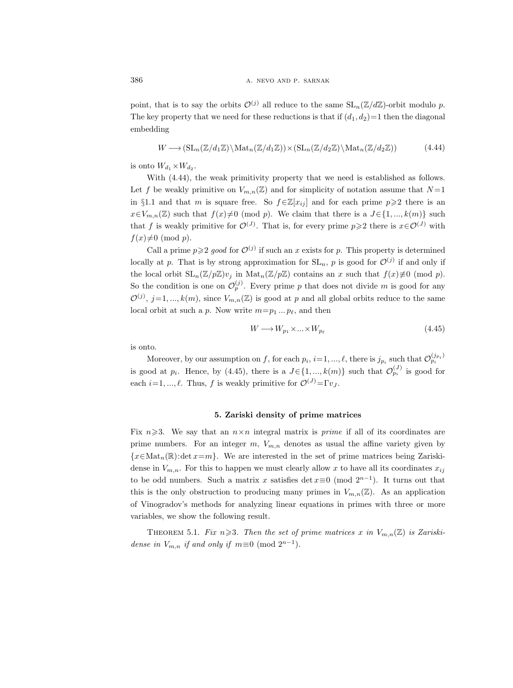point, that is to say the orbits  $\mathcal{O}^{(j)}$  all reduce to the same  $SL_n(\mathbb{Z}/d\mathbb{Z})$ -orbit modulo p. The key property that we need for these reductions is that if  $(d_1, d_2)=1$  then the diagonal embedding

$$
W \longrightarrow (\mathrm{SL}_n(\mathbb{Z}/d_1\mathbb{Z}) \setminus \mathrm{Mat}_n(\mathbb{Z}/d_1\mathbb{Z})) \times (\mathrm{SL}_n(\mathbb{Z}/d_2\mathbb{Z}) \setminus \mathrm{Mat}_n(\mathbb{Z}/d_2\mathbb{Z}))
$$
(4.44)

is onto  $W_{d_1} \times W_{d_2}$ .

With (4.44), the weak primitivity property that we need is established as follows. Let f be weakly primitive on  $V_{m,n}(\mathbb{Z})$  and for simplicity of notation assume that  $N=1$ in §1.1 and that m is square free. So  $f \in \mathbb{Z}[x_{ij}]$  and for each prime  $p \geq 2$  there is an  $x \in V_{m,n}(\mathbb{Z})$  such that  $f(x) \neq 0 \pmod{p}$ . We claim that there is a  $J \in \{1, ..., k(m)\}$  such that f is weakly primitive for  $\mathcal{O}^{(J)}$ . That is, for every prime  $p \geq 2$  there is  $x \in \mathcal{O}^{(J)}$  with  $f(x)\neq0 \pmod{p}$ .

Call a prime  $p \geqslant 2$  good for  $\mathcal{O}^{(j)}$  if such an x exists for p. This property is determined locally at p. That is by strong approximation for  $SL_n$ , p is good for  $\mathcal{O}^{(j)}$  if and only if the local orbit  $SL_n(\mathbb{Z}/p\mathbb{Z})v_j$  in  $Mat_n(\mathbb{Z}/p\mathbb{Z})$  contains an x such that  $f(x)\neq0 \pmod{p}$ . So the condition is one on  $\mathcal{O}_p^{(j)}$ . Every prime p that does not divide m is good for any  $\mathcal{O}^{(j)}$ ,  $j=1,...,k(m)$ , since  $V_{m,n}(\mathbb{Z})$  is good at p and all global orbits reduce to the same local orbit at such a p. Now write  $m=p_1 \dots p_\ell$ , and then

$$
W \longrightarrow W_{p_1} \times \dots \times W_{p_\ell} \tag{4.45}
$$

is onto.

Moreover, by our assumption on f, for each  $p_i$ ,  $i=1, ..., \ell$ , there is  $j_{p_i}$  such that  $\mathcal{O}_{p_i}^{(j_{p_i})}$ is good at  $p_i$ . Hence, by (4.45), there is a  $J \in \{1, ..., k(m)\}\$  such that  $\mathcal{O}_{p_i}^{(J)}$  is good for each  $i=1, ..., \ell$ . Thus, f is weakly primitive for  $\mathcal{O}^{(J)}=\Gamma v_J$ .

#### 5. Zariski density of prime matrices

Fix  $n\geqslant3$ . We say that an  $n\times n$  integral matrix is *prime* if all of its coordinates are prime numbers. For an integer  $m$ ,  $V_{m,n}$  denotes as usual the affine variety given by  ${x \in Mat_n(\mathbb{R}) : \det x = m}$ . We are interested in the set of prime matrices being Zariskidense in  $V_{m,n}$ . For this to happen we must clearly allow x to have all its coordinates  $x_{ij}$ to be odd numbers. Such a matrix x satisfies det  $x \equiv 0 \pmod{2^{n-1}}$ . It turns out that this is the only obstruction to producing many primes in  $V_{m,n}(\mathbb{Z})$ . As an application of Vinogradov's methods for analyzing linear equations in primes with three or more variables, we show the following result.

THEOREM 5.1. Fix  $n \geq 3$ . Then the set of prime matrices x in  $V_{m,n}(\mathbb{Z})$  is Zariskidense in  $V_{m,n}$  if and only if  $m \equiv 0 \pmod{2^{n-1}}$ .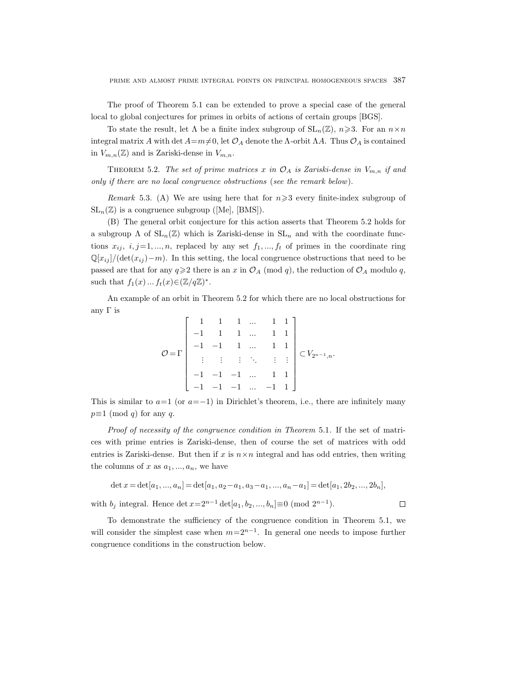The proof of Theorem 5.1 can be extended to prove a special case of the general local to global conjectures for primes in orbits of actions of certain groups [BGS].

To state the result, let  $\Lambda$  be a finite index subgroup of  $SL_n(\mathbb{Z})$ ,  $n \geq 3$ . For an  $n \times n$ integral matrix A with det  $A=m\neq0$ , let  $\mathcal{O}_A$  denote the Λ-orbit ΛA. Thus  $\mathcal{O}_A$  is contained in  $V_{m,n}(\mathbb{Z})$  and is Zariski-dense in  $V_{m,n}$ .

THEOREM 5.2. The set of prime matrices x in  $\mathcal{O}_A$  is Zariski-dense in  $V_{m,n}$  if and only if there are no local congruence obstructions (see the remark below).

Remark 5.3. (A) We are using here that for  $n \geq 3$  every finite-index subgroup of  $SL_n(\mathbb{Z})$  is a congruence subgroup ([Me], [BMS]).

(B) The general orbit conjecture for this action asserts that Theorem 5.2 holds for a subgroup  $\Lambda$  of  $SL_n(\mathbb{Z})$  which is Zariski-dense in  $SL_n$  and with the coordinate functions  $x_{ij}$ ,  $i, j=1, ..., n$ , replaced by any set  $f_1, ..., f_t$  of primes in the coordinate ring  $\mathbb{Q}[x_{ij}]/(\det(x_{ij})-m)$ . In this setting, the local congruence obstructions that need to be passed are that for any  $q \ge 2$  there is an x in  $\mathcal{O}_A$  (mod q), the reduction of  $\mathcal{O}_A$  modulo q, such that  $f_1(x) ... f_t(x) \in (\mathbb{Z}/q\mathbb{Z})^*$ .

An example of an orbit in Theorem 5.2 for which there are no local obstructions for any  $\Gamma$  is

$$
\mathcal{O} = \Gamma \begin{bmatrix} 1 & 1 & 1 & \dots & 1 & 1 \\ -1 & 1 & 1 & \dots & 1 & 1 \\ -1 & -1 & 1 & \dots & 1 & 1 \\ \vdots & \vdots & \vdots & \ddots & \vdots & \vdots \\ -1 & -1 & -1 & \dots & 1 & 1 \\ -1 & -1 & -1 & \dots & -1 & 1 \end{bmatrix} \subset V_{2^{n-1},n}.
$$

This is similar to  $a=1$  (or  $a=-1$ ) in Dirichlet's theorem, i.e., there are infinitely many  $p \equiv 1 \pmod{q}$  for any q.

Proof of necessity of the congruence condition in Theorem 5.1. If the set of matrices with prime entries is Zariski-dense, then of course the set of matrices with odd entries is Zariski-dense. But then if x is  $n \times n$  integral and has odd entries, then writing the columns of x as  $a_1, ..., a_n$ , we have

$$
\det x = \det[a_1, ..., a_n] = \det[a_1, a_2 - a_1, a_3 - a_1, ..., a_n - a_1] = \det[a_1, 2b_2, ..., 2b_n],
$$

 $\Box$ 

with  $b_j$  integral. Hence  $\det x = 2^{n-1} \det [a_1, b_2, ..., b_n] \equiv 0 \pmod{2^{n-1}}$ .

To demonstrate the sufficiency of the congruence condition in Theorem 5.1, we will consider the simplest case when  $m=2^{n-1}$ . In general one needs to impose further congruence conditions in the construction below.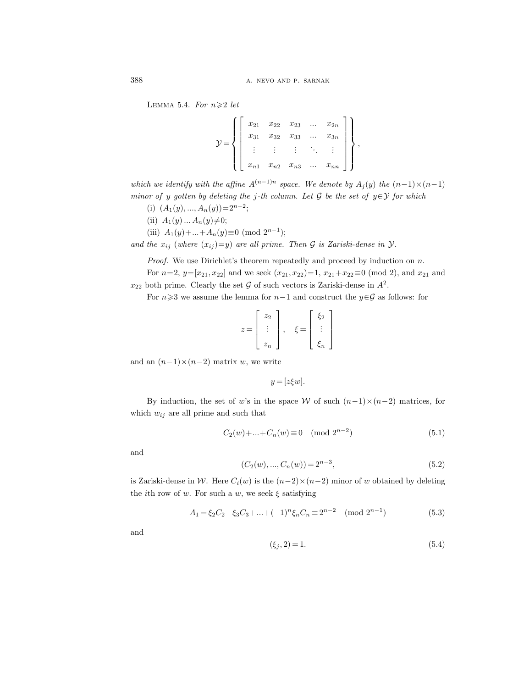388 a. nevo and p. sarnak

LEMMA 5.4. For  $n \geqslant 2$  let

|  | $x_{21}$ |          | $x_{22}$ $\hspace{0.1cm}$ $x_{23}$ $\hspace{0.1cm}$ $\ldots$ |            | $x_{2n}$ |  |
|--|----------|----------|--------------------------------------------------------------|------------|----------|--|
|  | $x_{31}$ | $x_{32}$ | $x_{33}$                                                     | $\sim 100$ | $x_{3n}$ |  |
|  |          |          | $\sim 10^{-1}$                                               |            |          |  |
|  | $x_{n1}$ | $x_{n2}$ | $x_{n3}$                                                     | $\cdots$   | $x_{nn}$ |  |

which we identify with the affine  $A^{(n-1)n}$  space. We denote by  $A_i(y)$  the  $(n-1)\times(n-1)$ minor of y gotten by deleting the j-th column. Let G be the set of  $y \in Y$  for which

- (i)  $(A_1(y),...,A_n(y))=2^{n-2};$
- (ii)  $A_1(y) ... A_n(y) \neq 0;$
- (iii)  $A_1(y) + ... + A_n(y) \equiv 0 \pmod{2^{n-1}};$

and the  $x_{ij}$  (where  $(x_{ij})=y$ ) are all prime. Then G is Zariski-dense in  $\mathcal{Y}$ .

*Proof.* We use Dirichlet's theorem repeatedly and proceed by induction on  $n$ .

For  $n=2$ ,  $y=[x_{21}, x_{22}]$  and we seek  $(x_{21}, x_{22})=1$ ,  $x_{21}+x_{22}\equiv 0 \pmod{2}$ , and  $x_{21}$  and  $x_{22}$  both prime. Clearly the set  $G$  of such vectors is Zariski-dense in  $A^2$ .

For  $n\geq 3$  we assume the lemma for  $n-1$  and construct the  $y\in\mathcal{G}$  as follows: for

$$
z = \begin{bmatrix} z_2 \\ \vdots \\ z_n \end{bmatrix}, \quad \xi = \begin{bmatrix} \xi_2 \\ \vdots \\ \xi_n \end{bmatrix}
$$

and an  $(n-1)\times(n-2)$  matrix w, we write

$$
y = [z\xi w].
$$

By induction, the set of w's in the space W of such  $(n-1)\times(n-2)$  matrices, for which  $w_{ij}$  are all prime and such that

$$
C_2(w) + \ldots + C_n(w) \equiv 0 \pmod{2^{n-2}}
$$
\n
$$
(5.1)
$$

and

$$
(C_2(w),...,C_n(w)) = 2^{n-3},
$$
\n(5.2)

is Zariski-dense in W. Here  $C_i(w)$  is the  $(n-2) \times (n-2)$  minor of w obtained by deleting the *i*th row of w. For such a w, we seek  $\xi$  satisfying

$$
A_1 = \xi_2 C_2 - \xi_3 C_3 + \dots + (-1)^n \xi_n C_n \equiv 2^{n-2} \pmod{2^{n-1}}
$$
\n(5.3)

and

$$
(\xi_j, 2) = 1. \tag{5.4}
$$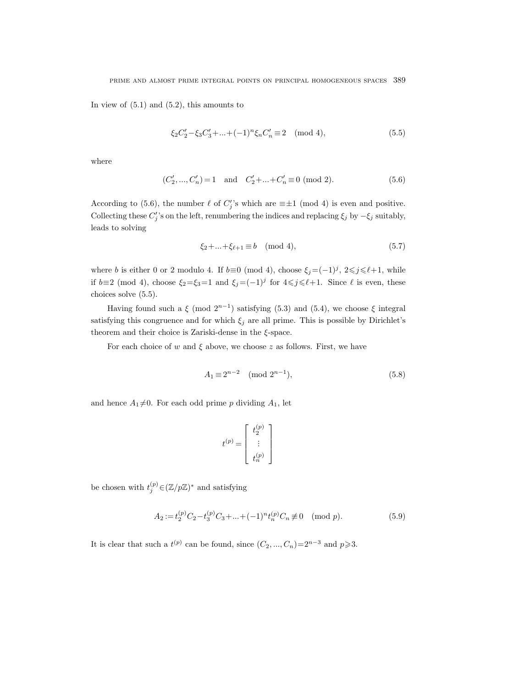In view of  $(5.1)$  and  $(5.2)$ , this amounts to

$$
\xi_2 C_2' - \xi_3 C_3' + \dots + (-1)^n \xi_n C_n' \equiv 2 \pmod{4},\tag{5.5}
$$

where

$$
(C'_2, ..., C'_n) = 1 \quad \text{and} \quad C'_2 + ... + C'_n \equiv 0 \pmod{2}.
$$
 (5.6)

According to (5.6), the number  $\ell$  of  $C_j'$ 's which are  $\equiv \pm 1 \pmod{4}$  is even and positive. Collecting these  $C'_j$ 's on the left, renumbering the indices and replacing  $\xi_j$  by  $-\xi_j$  suitably, leads to solving

$$
\xi_2 + \dots + \xi_{\ell+1} \equiv b \pmod{4},\tag{5.7}
$$

where b is either 0 or 2 modulo 4. If  $b \equiv 0 \pmod{4}$ , choose  $\xi_j = (-1)^j$ ,  $2 \leq j \leq \ell+1$ , while if  $b\equiv 2 \pmod{4}$ , choose  $\xi_2 = \xi_3 = 1$  and  $\xi_j = (-1)^j$  for  $4 \leq j \leq \ell+1$ . Since  $\ell$  is even, these choices solve (5.5).

Having found such a  $\xi$  (mod  $2^{n-1}$ ) satisfying (5.3) and (5.4), we choose  $\xi$  integral satisfying this congruence and for which  $\xi_j$  are all prime. This is possible by Dirichlet's theorem and their choice is Zariski-dense in the  $\xi$ -space.

For each choice of w and  $\xi$  above, we choose z as follows. First, we have

$$
A_1 \equiv 2^{n-2} \pmod{2^{n-1}},\tag{5.8}
$$

and hence  $A_1 \neq 0$ . For each odd prime p dividing  $A_1$ , let

$$
t^{(p)}=\left[\begin{array}{c} t_2^{(p)} \\ \vdots \\ t_n^{(p)} \end{array}\right]
$$

be chosen with  $t_j^{(p)} \in (\mathbb{Z}/p\mathbb{Z})^*$  and satisfying

$$
A_2 := t_2^{(p)} C_2 - t_3^{(p)} C_3 + \dots + (-1)^n t_n^{(p)} C_n \not\equiv 0 \pmod{p}.
$$
 (5.9)

It is clear that such a  $t^{(p)}$  can be found, since  $(C_2, ..., C_n)=2^{n-3}$  and  $p\geqslant 3$ .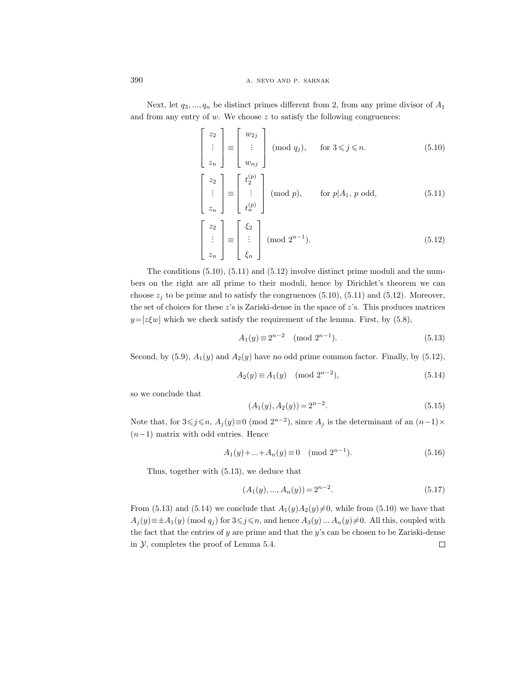390 **a.** NEVO AND P. SARNAK

Next, let  $q_3, ..., q_n$  be distinct primes different from 2, from any prime divisor of  $A_1$ and from any entry of  $w$ . We choose  $z$  to satisfy the following congruences:

$$
\begin{bmatrix} z_2 \\ \vdots \\ z_n \end{bmatrix} \equiv \begin{bmatrix} w_{2j} \\ \vdots \\ w_{nj} \end{bmatrix} \pmod{q_j}, \quad \text{for } 3 \leq j \leq n. \tag{5.10}
$$

$$
\begin{bmatrix} z_2 \\ \vdots \\ z_n \end{bmatrix} \equiv \begin{bmatrix} t_2^{(p)} \\ \vdots \\ t_n^{(p)} \end{bmatrix} \pmod{p}, \qquad \text{for } p | A_1, p \text{ odd}, \tag{5.11}
$$

$$
\begin{bmatrix} z_2 \\ \vdots \\ z_n \end{bmatrix} \equiv \begin{bmatrix} \xi_2 \\ \vdots \\ \xi_n \end{bmatrix} \pmod{2^{n-1}}.
$$
 (5.12)

The conditions (5.10), (5.11) and (5.12) involve distinct prime moduli and the numbers on the right are all prime to their moduli, hence by Dirichlet's theorem we can choose  $z_i$  to be prime and to satisfy the congruences (5.10), (5.11) and (5.12). Moreover, the set of choices for these  $z$ 's is Zariski-dense in the space of  $z$ 's. This produces matrices  $y=[z \xi w]$  which we check satisfy the requirement of the lemma. First, by (5.8),

$$
A_1(y) \equiv 2^{n-2} \pmod{2^{n-1}}.
$$
 (5.13)

Second, by (5.9),  $A_1(y)$  and  $A_2(y)$  have no odd prime common factor. Finally, by (5.12),

$$
A_2(y) \equiv A_1(y) \pmod{2^{n-2}},\tag{5.14}
$$

so we conclude that

$$
(A_1(y), A_2(y)) = 2^{n-2}.
$$
\n(5.15)

Note that, for  $3 \leq j \leq n$ ,  $A_j(y) \equiv 0 \pmod{2^{n-2}}$ , since  $A_j$  is the determinant of an  $(n-1) \times$  $(n-1)$  matrix with odd entries. Hence

$$
A_1(y) + \dots + A_n(y) \equiv 0 \pmod{2^{n-1}}.
$$
\n(5.16)

Thus, together with (5.13), we deduce that

$$
(A_1(y),...,A_n(y)) = 2^{n-2}.
$$
\n(5.17)

From (5.13) and (5.14) we conclude that  $A_1(y)A_2(y)\neq 0$ , while from (5.10) we have that  $A_j(y) \equiv \pm A_1(y) \pmod{q_j}$  for  $3 \leq j \leq n$ , and hence  $A_3(y) \ldots A_n(y) \neq 0$ . All this, coupled with the fact that the entries of  $y$  are prime and that the  $y$ 's can be chosen to be Zariski-dense in  $\mathcal{Y}$ , completes the proof of Lemma 5.4.  $\Box$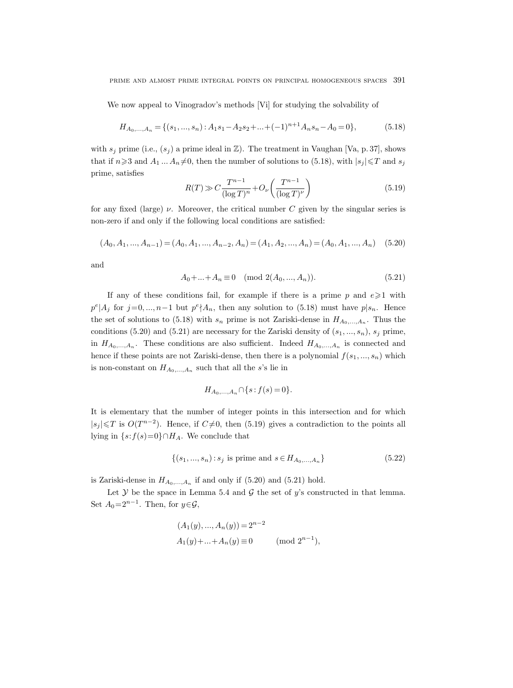We now appeal to Vinogradov's methods [Vi] for studying the solvability of

$$
H_{A_0,\dots,A_n} = \{(s_1,\dots,s_n) : A_1s_1 - A_2s_2 + \dots + (-1)^{n+1}A_ns_n - A_0 = 0\},\tag{5.18}
$$

with  $s_j$  prime (i.e.,  $(s_j)$  a prime ideal in  $\mathbb{Z}$ ). The treatment in Vaughan [Va, p. 37], shows that if  $n\geqslant 3$  and  $A_1 \dots A_n \neq 0$ , then the number of solutions to (5.18), with  $|s_j| \leqslant T$  and  $s_j$ prime, satisfies

$$
R(T) \gg C \frac{T^{n-1}}{(\log T)^n} + O_\nu\left(\frac{T^{n-1}}{(\log T)^\nu}\right) \tag{5.19}
$$

for any fixed (large)  $\nu$ . Moreover, the critical number C given by the singular series is non-zero if and only if the following local conditions are satisfied:

$$
(A_0, A_1, \dots, A_{n-1}) = (A_0, A_1, \dots, A_{n-2}, A_n) = (A_1, A_2, \dots, A_n) = (A_0, A_1, \dots, A_n) \tag{5.20}
$$

and

$$
A_0 + \dots + A_n \equiv 0 \pmod{2(A_0, \dots, A_n)}.
$$
 (5.21)

If any of these conditions fail, for example if there is a prime p and  $e \geq 1$  with  $p^e|A_j$  for  $j=0,\ldots,n-1$  but  $p^e \nmid A_n$ , then any solution to (5.18) must have  $p|s_n$ . Hence the set of solutions to (5.18) with  $s_n$  prime is not Zariski-dense in  $H_{A_0,...,A_n}$ . Thus the conditions (5.20) and (5.21) are necessary for the Zariski density of  $(s_1, ..., s_n)$ ,  $s_j$  prime, in  $H_{A_0,...,A_n}$ . These conditions are also sufficient. Indeed  $H_{A_0,...,A_n}$  is connected and hence if these points are not Zariski-dense, then there is a polynomial  $f(s_1, ..., s_n)$  which is non-constant on  $H_{A_0,...,A_n}$  such that all the s's lie in

$$
H_{A_0,...,A_n} \cap \{s : f(s) = 0\}.
$$

It is elementary that the number of integer points in this intersection and for which  $|s_j|$  ≤T is  $O(T^{n-2})$ . Hence, if  $C \neq 0$ , then (5.19) gives a contradiction to the points all lying in  $\{s:f(s)=0\}\cap H_A$ . We conclude that

$$
\{(s_1, ..., s_n) : s_j \text{ is prime and } s \in H_{A_0, ..., A_n}\}\tag{5.22}
$$

is Zariski-dense in  $H_{A_0,...,A_n}$  if and only if  $(5.20)$  and  $(5.21)$  hold.

Let  $Y$  be the space in Lemma 5.4 and  $\mathcal G$  the set of y's constructed in that lemma. Set  $A_0 = 2^{n-1}$ . Then, for  $y \in \mathcal{G}$ ,

$$
(A_1(y),..., A_n(y)) = 2^{n-2}
$$
  
 
$$
A_1(y) + ... + A_n(y) \equiv 0 \quad (\text{mod } 2^{n-1}),
$$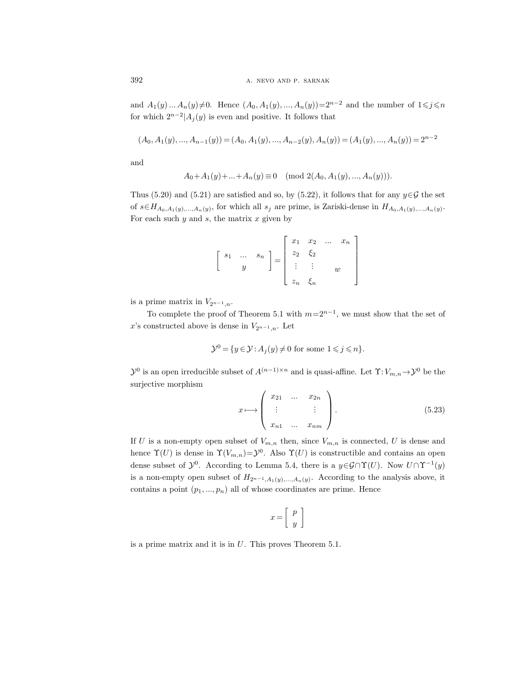and  $A_1(y) ... A_n(y) \neq 0$ . Hence  $(A_0, A_1(y), ..., A_n(y))=2^{n-2}$  and the number of  $1 \leq j \leq n$ for which  $2^{n-2}$ | $A_j(y)$  is even and positive. It follows that

$$
(A_0, A_1(y),..., A_{n-1}(y)) = (A_0, A_1(y),..., A_{n-2}(y), A_n(y)) = (A_1(y),..., A_n(y)) = 2^{n-2}
$$

and

$$
A_0 + A_1(y) + \ldots + A_n(y) \equiv 0 \pmod{2(A_0, A_1(y), \ldots, A_n(y))}.
$$

Thus (5.20) and (5.21) are satisfied and so, by (5.22), it follows that for any  $y \in \mathcal{G}$  the set of  $s \in H_{A_0,A_1(y),...,A_n(y)}$ , for which all  $s_j$  are prime, is Zariski-dense in  $H_{A_0,A_1(y),...,A_n(y)}$ . For each such  $y$  and  $s$ , the matrix  $x$  given by

$$
\left[\begin{array}{ccc} s_1 & \dots & s_n \\ y & & \end{array}\right] = \left[\begin{array}{cccc} x_1 & x_2 & \dots & x_n \\ z_2 & \xi_2 & & \\ \vdots & \vdots & & w \\ z_n & \xi_n & & \end{array}\right]
$$

is a prime matrix in  $V_{2^{n-1},n}$ .

To complete the proof of Theorem 5.1 with  $m=2^{n-1}$ , we must show that the set of x's constructed above is dense in  $V_{2n-1,n}$ . Let

$$
\mathcal{Y}^0 = \{ y \in \mathcal{Y} : A_j(y) \neq 0 \text{ for some } 1 \leq j \leq n \}.
$$

 $\mathcal{Y}^0$  is an open irreducible subset of  $A^{(n-1)\times n}$  and is quasi-affine. Let  $\Upsilon: V_{m,n} \to \mathcal{Y}^0$  be the surjective morphism

$$
x \longmapsto \begin{pmatrix} x_{21} & \dots & x_{2n} \\ \vdots & & \vdots \\ x_{n1} & \dots & x_{nm} \end{pmatrix} . \tag{5.23}
$$

If U is a non-empty open subset of  $V_{m,n}$  then, since  $V_{m,n}$  is connected, U is dense and hence  $\Upsilon(U)$  is dense in  $\Upsilon(V_{m,n}) = \mathcal{Y}^0$ . Also  $\Upsilon(U)$  is constructible and contains an open dense subset of  $\mathcal{Y}^0$ . According to Lemma 5.4, there is a  $y \in \mathcal{G} \cap \Upsilon(U)$ . Now  $U \cap \Upsilon^{-1}(y)$ is a non-empty open subset of  $H_{2^{n-1},A_1(y),...,A_n(y)}$ . According to the analysis above, it contains a point  $(p_1, ..., p_n)$  all of whose coordinates are prime. Hence

$$
x = \left[ \begin{array}{c} p \\ y \end{array} \right]
$$

is a prime matrix and it is in U. This proves Theorem 5.1.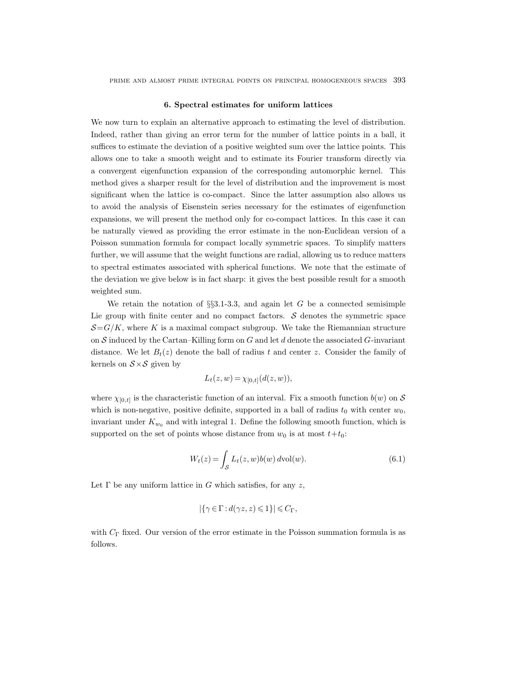prime and almost prime integral points on principal homogeneous spaces 393

#### 6. Spectral estimates for uniform lattices

We now turn to explain an alternative approach to estimating the level of distribution. Indeed, rather than giving an error term for the number of lattice points in a ball, it suffices to estimate the deviation of a positive weighted sum over the lattice points. This allows one to take a smooth weight and to estimate its Fourier transform directly via a convergent eigenfunction expansion of the corresponding automorphic kernel. This method gives a sharper result for the level of distribution and the improvement is most significant when the lattice is co-compact. Since the latter assumption also allows us to avoid the analysis of Eisenstein series necessary for the estimates of eigenfunction expansions, we will present the method only for co-compact lattices. In this case it can be naturally viewed as providing the error estimate in the non-Euclidean version of a Poisson summation formula for compact locally symmetric spaces. To simplify matters further, we will assume that the weight functions are radial, allowing us to reduce matters to spectral estimates associated with spherical functions. We note that the estimate of the deviation we give below is in fact sharp: it gives the best possible result for a smooth weighted sum.

We retain the notation of  $\S$ \$3.1-3.3, and again let G be a connected semisimple Lie group with finite center and no compact factors.  $S$  denotes the symmetric space  $\mathcal{S}=G/K$ , where K is a maximal compact subgroup. We take the Riemannian structure on  $S$  induced by the Cartan–Killing form on  $G$  and let  $d$  denote the associated  $G$ -invariant distance. We let  $B_t(z)$  denote the ball of radius t and center z. Consider the family of kernels on  $S \times S$  given by

$$
L_t(z, w) = \chi_{[0,t]}(d(z, w)),
$$

where  $\chi_{[0,t]}$  is the characteristic function of an interval. Fix a smooth function  $b(w)$  on S which is non-negative, positive definite, supported in a ball of radius  $t_0$  with center  $w_0$ , invariant under  $K_{w_0}$  and with integral 1. Define the following smooth function, which is supported on the set of points whose distance from  $w_0$  is at most  $t+t_0$ :

$$
W_t(z) = \int_{\mathcal{S}} L_t(z, w)b(w) \, dvol(w).
$$
 (6.1)

Let  $\Gamma$  be any uniform lattice in G which satisfies, for any z,

$$
|\{\gamma\in\Gamma:d(\gamma z,z)\leqslant 1\}|\leqslant C_\Gamma,
$$

with  $C_{\Gamma}$  fixed. Our version of the error estimate in the Poisson summation formula is as follows.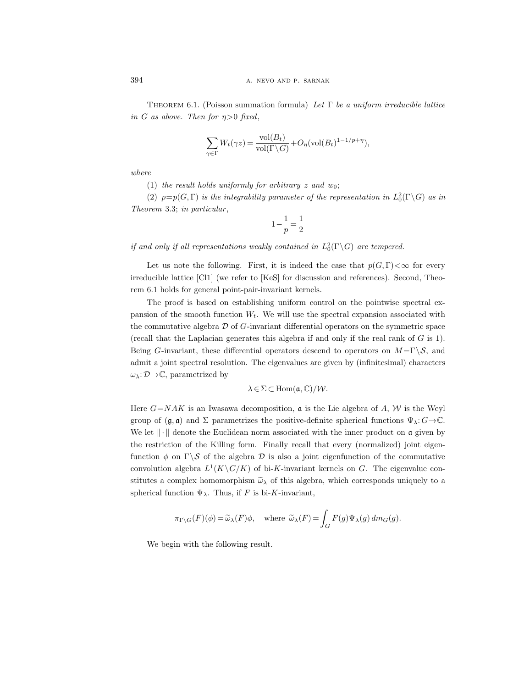THEOREM 6.1. (Poisson summation formula) Let  $\Gamma$  be a uniform irreducible lattice in G as above. Then for  $\eta > 0$  fixed,

$$
\sum_{\gamma \in \Gamma} W_t(\gamma z) = \frac{\text{vol}(B_t)}{\text{vol}(\Gamma \backslash G)} + O_{\eta}(\text{vol}(B_t)^{1-1/p+\eta}),
$$

where

(1) the result holds uniformly for arbitrary z and  $w_0$ ;

(2)  $p=p(G,\Gamma)$  is the integrability parameter of the representation in  $L_0^2(\Gamma \backslash G)$  as in Theorem 3.3; in particular,

$$
1-\frac{1}{p}=\frac{1}{2}
$$

if and only if all representations weakly contained in  $L_0^2(\Gamma \backslash G)$  are tempered.

Let us note the following. First, it is indeed the case that  $p(G, \Gamma) < \infty$  for every irreducible lattice [Cl1] (we refer to [KeS] for discussion and references). Second, Theorem 6.1 holds for general point-pair-invariant kernels.

The proof is based on establishing uniform control on the pointwise spectral expansion of the smooth function  $W_t$ . We will use the spectral expansion associated with the commutative algebra  $\mathcal D$  of  $G$ -invariant differential operators on the symmetric space (recall that the Laplacian generates this algebra if and only if the real rank of  $G$  is 1). Being G-invariant, these differential operators descend to operators on  $M = \Gamma \backslash S$ , and admit a joint spectral resolution. The eigenvalues are given by (infinitesimal) characters  $\omega_{\lambda} : \mathcal{D} \to \mathbb{C}$ , parametrized by

$$
\lambda \in \Sigma \subset \mathrm{Hom}(\mathfrak{a},\mathbb{C})/\mathcal{W}.
$$

Here  $G=NAK$  is an Iwasawa decomposition,  $\mathfrak a$  is the Lie algebra of A, W is the Weyl group of  $(\mathfrak{g}, \mathfrak{a})$  and  $\Sigma$  parametrizes the positive-definite spherical functions  $\Psi_{\lambda}: G \rightarrow \mathbb{C}$ . We let  $\|\cdot\|$  denote the Euclidean norm associated with the inner product on a given by the restriction of the Killing form. Finally recall that every (normalized) joint eigenfunction  $\phi$  on  $\Gamma \backslash S$  of the algebra D is also a joint eigenfunction of the commutative convolution algebra  $L^1(K\backslash G/K)$  of bi-K-invariant kernels on G. The eigenvalue constitutes a complex homomorphism  $\tilde{\omega}_{\lambda}$  of this algebra, which corresponds uniquely to a spherical function  $\Psi_{\lambda}$ . Thus, if F is bi-K-invariant,

$$
\pi_{\Gamma\backslash G}(F)(\phi) = \widetilde{\omega}_{\lambda}(F)\phi, \quad \text{where } \widetilde{\omega}_{\lambda}(F) = \int_{G} F(g)\Psi_{\lambda}(g) dm_G(g).
$$

We begin with the following result.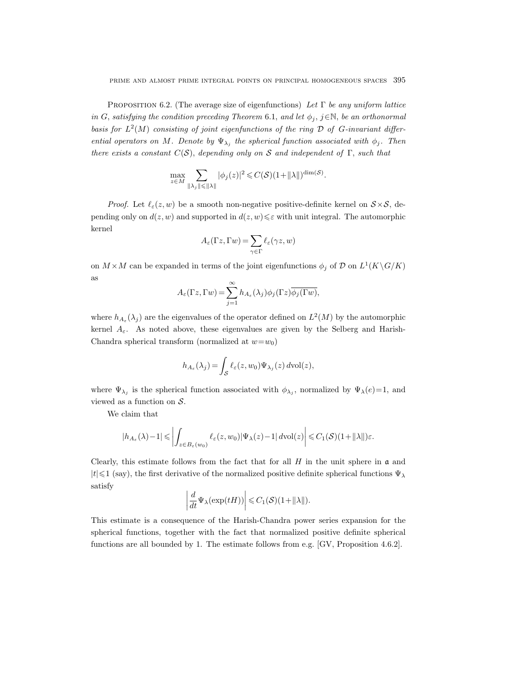PROPOSITION 6.2. (The average size of eigenfunctions) Let  $\Gamma$  be any uniform lattice in G, satisfying the condition preceding Theorem 6.1, and let  $\phi_j$ ,  $j \in \mathbb{N}$ , be an orthonormal basis for  $L^2(M)$  consisting of joint eigenfunctions of the ring  $\mathcal D$  of G-invariant differential operators on M. Denote by  $\Psi_{\lambda_j}$  the spherical function associated with  $\phi_j$ . Then there exists a constant  $C(S)$ , depending only on S and independent of  $\Gamma$ , such that

$$
\max_{z\in M}\sum_{\|\lambda_j\|\leqslant \|\lambda\|}|\phi_j(z)|^2\leqslant C(\mathcal{S})(1+\|\lambda\|)^{\dim(\mathcal{S})}.
$$

*Proof.* Let  $\ell_{\varepsilon}(z, w)$  be a smooth non-negative positive-definite kernel on  $S \times S$ , depending only on  $d(z, w)$  and supported in  $d(z, w) \leq \varepsilon$  with unit integral. The automorphic kernel

$$
A_{\varepsilon}(\Gamma z, \Gamma w) = \sum_{\gamma \in \Gamma} \ell_{\varepsilon}(\gamma z, w)
$$

on  $M \times M$  can be expanded in terms of the joint eigenfunctions  $\phi_j$  of D on  $L^1(K \backslash G/K)$ as

$$
A_{\varepsilon}(\Gamma z, \Gamma w) = \sum_{j=1}^{\infty} h_{A_{\varepsilon}}(\lambda_j) \phi_j(\Gamma z) \overline{\phi_j(\Gamma w)},
$$

where  $h_{A_{\varepsilon}}(\lambda_j)$  are the eigenvalues of the operator defined on  $L^2(M)$  by the automorphic kernel  $A_{\varepsilon}$ . As noted above, these eigenvalues are given by the Selberg and Harish-Chandra spherical transform (normalized at  $w=w_0$ )

$$
h_{A_{\varepsilon}}(\lambda_j) = \int_{\mathcal{S}} \ell_{\varepsilon}(z, w_0) \Psi_{\lambda_j}(z) d\text{vol}(z),
$$

where  $\Psi_{\lambda_j}$  is the spherical function associated with  $\phi_{\lambda_j}$ , normalized by  $\Psi_{\lambda}(e)=1$ , and viewed as a function on  $S$ .

We claim that

$$
|h_{A_{\varepsilon}}(\lambda)-1| \leqslant \left| \int_{z \in B_{\varepsilon}(w_0)} \ell_{\varepsilon}(z, w_0) |\Psi_{\lambda}(z)-1| \, d\mathrm{vol}(z) \right| \leqslant C_1(\mathcal{S})(1+||\lambda||)\varepsilon.
$$

Clearly, this estimate follows from the fact that for all  $H$  in the unit sphere in  $\mathfrak a$  and  $|t| \leq 1$  (say), the first derivative of the normalized positive definite spherical functions  $\Psi_{\lambda}$ satisfy

$$
\left|\frac{d}{dt}\Psi_{\lambda}(\exp(tH))\right| \leqslant C_1(\mathcal{S})(1+\|\lambda\|).
$$

This estimate is a consequence of the Harish-Chandra power series expansion for the spherical functions, together with the fact that normalized positive definite spherical functions are all bounded by 1. The estimate follows from e.g. [GV, Proposition 4.6.2].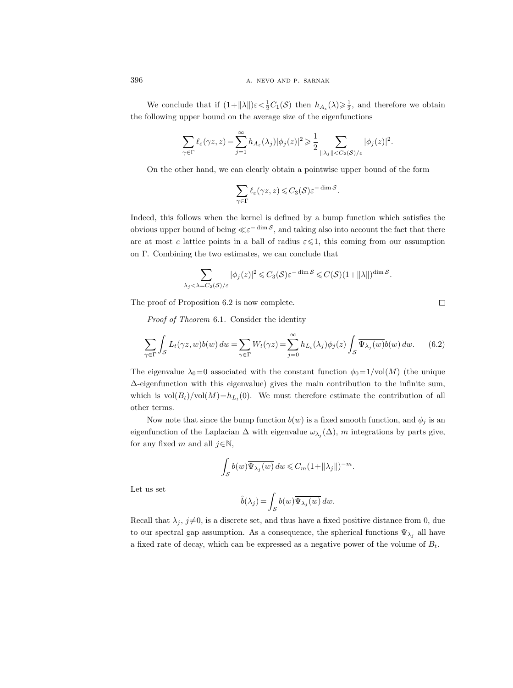We conclude that if  $(1+\|\lambda\|)\varepsilon < \frac{1}{2}C_1(\mathcal{S})$  then  $h_{A_{\varepsilon}}(\lambda) \geq \frac{1}{2}$ , and therefore we obtain the following upper bound on the average size of the eigenfunctions

$$
\sum_{\gamma \in \Gamma} \ell_{\varepsilon}(\gamma z,z) = \sum_{j=1}^{\infty} h_{A_{\varepsilon}}(\lambda_j) |\phi_j(z)|^2 \geqslant \frac{1}{2} \sum_{\|\lambda_j\| < C_2(\mathcal{S})/\varepsilon} |\phi_j(z)|^2.
$$

On the other hand, we can clearly obtain a pointwise upper bound of the form

$$
\sum_{\gamma \in \Gamma} \ell_{\varepsilon}(\gamma z, z) \leqslant C_3(\mathcal{S}) \varepsilon^{-\dim \mathcal{S}}.
$$

Indeed, this follows when the kernel is defined by a bump function which satisfies the obvious upper bound of being  $\ll \varepsilon^{-\dim S}$ , and taking also into account the fact that there are at most c lattice points in a ball of radius  $\varepsilon \leq 1$ , this coming from our assumption on Γ. Combining the two estimates, we can conclude that

$$
\sum_{\lambda_j<\lambda=C_2(\mathcal{S})/\varepsilon}|\phi_j(z)|^2\leqslant C_3(\mathcal{S})\varepsilon^{-\dim\mathcal{S}}\leqslant C(\mathcal{S})(1+\|\lambda\|)^{\dim\mathcal{S}}.
$$

The proof of Proposition 6.2 is now complete.

Proof of Theorem 6.1. Consider the identity

$$
\sum_{\gamma \in \Gamma} \int_{\mathcal{S}} L_t(\gamma z, w) b(w) \, dw = \sum_{\gamma \in \Gamma} W_t(\gamma z) = \sum_{j=0}^{\infty} h_{L_t}(\lambda_j) \phi_j(z) \int_{\mathcal{S}} \overline{\Psi_{\lambda_j}(w)} b(w) \, dw. \tag{6.2}
$$

 $\Box$ 

The eigenvalue  $\lambda_0=0$  associated with the constant function  $\phi_0=1/\text{vol}(M)$  (the unique ∆-eigenfunction with this eigenvalue) gives the main contribution to the infinite sum, which is  $vol(B_t)/vol(M) = h_{L_t}(0)$ . We must therefore estimate the contribution of all other terms.

Now note that since the bump function  $b(w)$  is a fixed smooth function, and  $\phi_j$  is an eigenfunction of the Laplacian  $\Delta$  with eigenvalue  $\omega_{\lambda_j}(\Delta)$ , m integrations by parts give, for any fixed m and all  $j \in \mathbb{N}$ ,

$$
\int_{\mathcal{S}} b(w) \overline{\Psi_{\lambda_j}(w)} dw \leqslant C_m (1 + ||\lambda_j||)^{-m}.
$$

Let us set

$$
\hat{b}(\lambda_j) = \int_{\mathcal{S}} b(w) \overline{\Psi_{\lambda_j}(w)} dw.
$$

Recall that  $\lambda_j$ ,  $j\neq 0$ , is a discrete set, and thus have a fixed positive distance from 0, due to our spectral gap assumption. As a consequence, the spherical functions  $\Psi_{\lambda_i}$  all have a fixed rate of decay, which can be expressed as a negative power of the volume of  $B_t$ .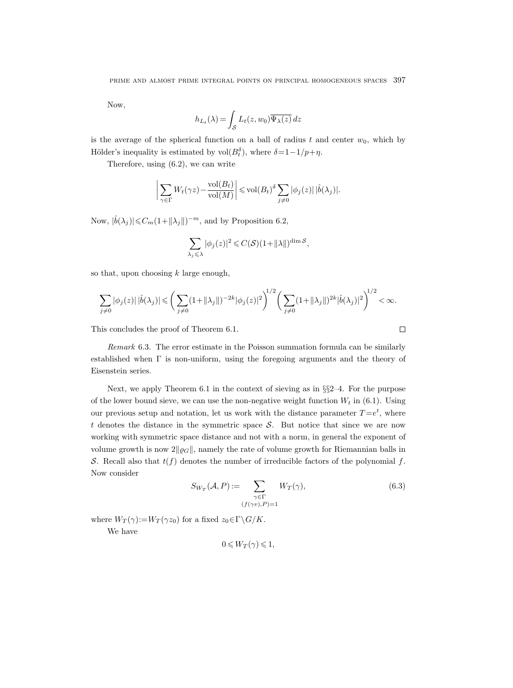Now,

$$
h_{L_t}(\lambda) = \int_{\mathcal{S}} L_t(z, w_0) \overline{\Psi_{\lambda}(z)} dz
$$

is the average of the spherical function on a ball of radius t and center  $w_0$ , which by Hölder's inequality is estimated by  $vol(B_t^{\delta})$ , where  $\delta = 1 - 1/p + \eta$ .

Therefore, using (6.2), we can write

$$
\left| \sum_{\gamma \in \Gamma} W_t(\gamma z) - \frac{\text{vol}(B_t)}{\text{vol}(M)} \right| \leq \text{vol}(B_t)^{\delta} \sum_{j \neq 0} |\phi_j(z)| |\hat{b}(\lambda_j)|.
$$

Now,  $|\hat{b}(\lambda_j)| \leq C_m(1 + ||\lambda_j||)^{-m}$ , and by Proposition 6.2,

$$
\sum_{\lambda_j \leqslant \lambda} |\phi_j(z)|^2 \leqslant C(\mathcal{S})(1 + ||\lambda||)^{\dim \mathcal{S}},
$$

so that, upon choosing  $k$  large enough,

$$
\sum_{j\neq 0} |\phi_j(z)| |\hat{b}(\lambda_j)| \leqslant \bigg( \sum_{j\neq 0} (1 + \|\lambda_j\|)^{-2k} |\phi_j(z)|^2 \bigg)^{1/2} \bigg( \sum_{j\neq 0} (1 + \|\lambda_j\|)^{2k} |\hat{b}(\lambda_j)|^2 \bigg)^{1/2} < \infty.
$$

This concludes the proof of Theorem 6.1.

Remark 6.3. The error estimate in the Poisson summation formula can be similarly established when  $\Gamma$  is non-uniform, using the foregoing arguments and the theory of Eisenstein series.

Next, we apply Theorem 6.1 in the context of sieving as in §§2–4. For the purpose of the lower bound sieve, we can use the non-negative weight function  $W_t$  in (6.1). Using our previous setup and notation, let us work with the distance parameter  $T = e^t$ , where t denotes the distance in the symmetric space  $S$ . But notice that since we are now working with symmetric space distance and not with a norm, in general the exponent of volume growth is now  $2\|\varrho_G\|$ , namely the rate of volume growth for Riemannian balls in S. Recall also that  $t(f)$  denotes the number of irreducible factors of the polynomial f. Now consider

$$
S_{W_T}(\mathcal{A}, P) := \sum_{\substack{\gamma \in \Gamma \\ (f(\gamma v), P) = 1}} W_T(\gamma), \tag{6.3}
$$

 $\Box$ 

where  $W_T(\gamma) := W_T(\gamma z_0)$  for a fixed  $z_0 \in \Gamma \backslash G / K$ . We have

$$
0 \leqslant W_T(\gamma) \leqslant 1,
$$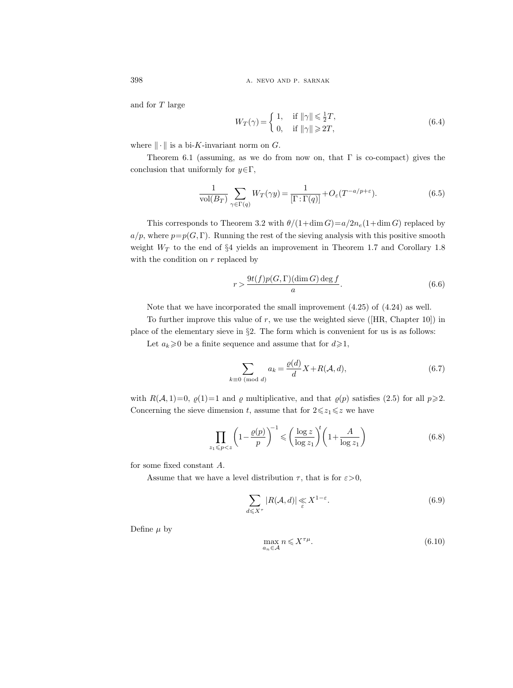398 **a.** NEVO AND P. SARNAK

and for T large

$$
W_T(\gamma) = \begin{cases} 1, & \text{if } \|\gamma\| \le \frac{1}{2}T, \\ 0, & \text{if } \|\gamma\| \ge 2T, \end{cases} \tag{6.4}
$$

where  $\|\cdot\|$  is a bi-K-invariant norm on G.

Theorem 6.1 (assuming, as we do from now on, that  $\Gamma$  is co-compact) gives the conclusion that uniformly for  $y \in \Gamma$ ,

$$
\frac{1}{\text{vol}(B_T)} \sum_{\gamma \in \Gamma(q)} W_T(\gamma y) = \frac{1}{[\Gamma : \Gamma(q)]} + O_{\varepsilon}(T^{-a/p + \varepsilon}).\tag{6.5}
$$

This corresponds to Theorem 3.2 with  $\theta/(1+\dim G)=a/2n_e(1+\dim G)$  replaced by  $a/p$ , where  $p=p(G, \Gamma)$ . Running the rest of the sieving analysis with this positive smooth weight  $W_T$  to the end of §4 yields an improvement in Theorem 1.7 and Corollary 1.8 with the condition on  $r$  replaced by

$$
r > \frac{9t(f)p(G, \Gamma)(\dim G)\deg f}{a}.
$$
\n(6.6)

Note that we have incorporated the small improvement (4.25) of (4.24) as well.

To further improve this value of  $r$ , we use the weighted sieve ([HR, Chapter 10]) in place of the elementary sieve in §2. The form which is convenient for us is as follows:

Let  $a_k \ge 0$  be a finite sequence and assume that for  $d \ge 1$ ,

$$
\sum_{k\equiv 0 \pmod{d}} a_k = \frac{\varrho(d)}{d} X + R(\mathcal{A}, d),\tag{6.7}
$$

with  $R(\mathcal{A}, 1)=0$ ,  $\varrho(1)=1$  and  $\varrho$  multiplicative, and that  $\varrho(p)$  satisfies (2.5) for all  $p\geqslant 2$ . Concerning the sieve dimension t, assume that for  $2 \leq z_1 \leq z$  we have

$$
\prod_{z_1 \le p < z} \left( 1 - \frac{\varrho(p)}{p} \right)^{-1} \le \left( \frac{\log z}{\log z_1} \right)^t \left( 1 + \frac{A}{\log z_1} \right) \tag{6.8}
$$

for some fixed constant A.

Assume that we have a level distribution  $\tau$ , that is for  $\varepsilon > 0$ ,

$$
\sum_{d \leqslant X^{\tau}} |R(\mathcal{A}, d)| \leqslant X^{1-\varepsilon}.
$$
\n(6.9)

Define  $\mu$  by

$$
\max_{a_n \in \mathcal{A}} n \leqslant X^{\tau \mu}.\tag{6.10}
$$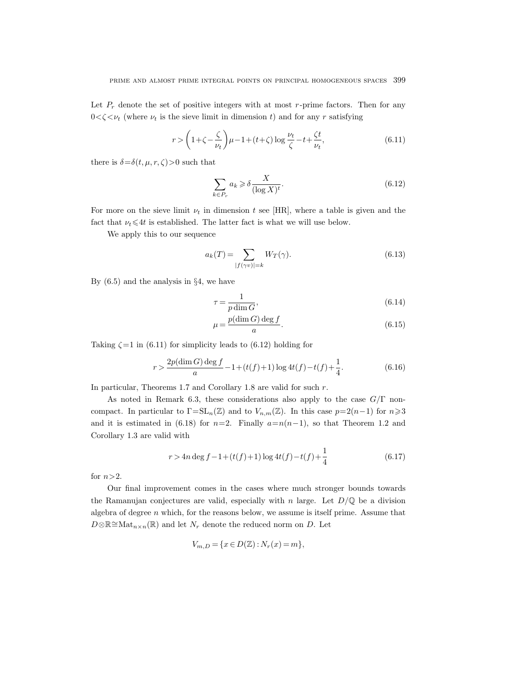Let  $P_r$  denote the set of positive integers with at most  $r$ -prime factors. Then for any  $0 < \zeta < \nu_t$  (where  $\nu_t$  is the sieve limit in dimension t) and for any r satisfying

$$
r > \left(1 + \zeta - \frac{\zeta}{\nu_t}\right)\mu - 1 + (t + \zeta)\log\frac{\nu_t}{\zeta} - t + \frac{\zeta t}{\nu_t},\tag{6.11}
$$

there is  $\delta = \delta(t, \mu, r, \zeta) > 0$  such that

$$
\sum_{k \in P_r} a_k \geq \delta \frac{X}{(\log X)^t}.
$$
\n(6.12)

For more on the sieve limit  $\nu_t$  in dimension t see [HR], where a table is given and the fact that  $\nu_t \leq 4t$  is established. The latter fact is what we will use below.

We apply this to our sequence

$$
a_k(T) = \sum_{|f(\gamma v)| = k} W_T(\gamma). \tag{6.13}
$$

By  $(6.5)$  and the analysis in  $\S 4$ , we have

$$
\tau = \frac{1}{p \dim G},\tag{6.14}
$$

$$
\mu = \frac{p(\dim G) \deg f}{a}.\tag{6.15}
$$

Taking  $\zeta = 1$  in (6.11) for simplicity leads to (6.12) holding for

$$
r > \frac{2p(\dim G)\deg f}{a} - 1 + (t(f) + 1)\log 4t(f) - t(f) + \frac{1}{4}.
$$
 (6.16)

In particular, Theorems 1.7 and Corollary 1.8 are valid for such r.

As noted in Remark 6.3, these considerations also apply to the case  $G/\Gamma$  noncompact. In particular to  $\Gamma = SL_n(\mathbb{Z})$  and to  $V_{n,m}(\mathbb{Z})$ . In this case  $p=2(n-1)$  for  $n \geq 3$ and it is estimated in (6.18) for  $n=2$ . Finally  $a=n(n-1)$ , so that Theorem 1.2 and Corollary 1.3 are valid with

$$
r > 4n \deg f - 1 + (t(f) + 1) \log 4t(f) - t(f) + \frac{1}{4}
$$
\n(6.17)

for  $n>2$ .

Our final improvement comes in the cases where much stronger bounds towards the Ramanujan conjectures are valid, especially with n large. Let  $D/\mathbb{Q}$  be a division algebra of degree  $n$  which, for the reasons below, we assume is itself prime. Assume that  $D\otimes\mathbb{R}^{\leq}\mathrm{Mat}_{n\times n}(\mathbb{R})$  and let  $N_r$  denote the reduced norm on D. Let

$$
V_{m,D} = \{x \in D(\mathbb{Z}) : N_r(x) = m\},\
$$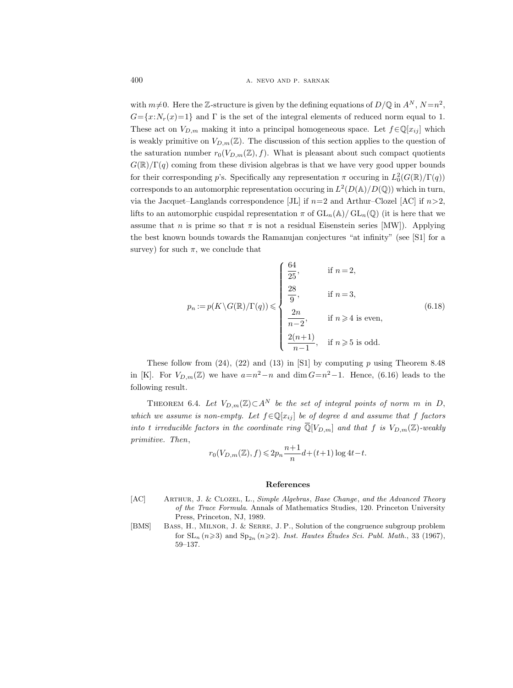with  $m\neq 0$ . Here the Z-structure is given by the defining equations of  $D/\mathbb{Q}$  in  $A^N$ ,  $N = n^2$ ,  $G=\{x:N_r(x)=1\}$  and  $\Gamma$  is the set of the integral elements of reduced norm equal to 1. These act on  $V_{D,m}$  making it into a principal homogeneous space. Let  $f \in \mathbb{Q}[x_{ij}]$  which is weakly primitive on  $V_{D,m}(\mathbb{Z})$ . The discussion of this section applies to the question of the saturation number  $r_0(V_{D,m}(\mathbb{Z}), f)$ . What is pleasant about such compact quotients  $G(\mathbb{R})/\Gamma(q)$  coming from these division algebras is that we have very good upper bounds for their corresponding p's. Specifically any representation  $\pi$  occuring in  $L_0^2(G(\mathbb{R})/\Gamma(q))$ corresponds to an automorphic representation occuring in  $L^2(D(\mathbb{A})/D(\mathbb{Q}))$  which in turn, via the Jacquet–Langlands correspondence [JL] if  $n=2$  and Arthur–Clozel [AC] if  $n>2$ . lifts to an automorphic cuspidal representation  $\pi$  of  $GL_n(\mathbb{A})/GL_n(\mathbb{Q})$  (it is here that we assume that n is prime so that  $\pi$  is not a residual Eisenstein series [MW]). Applying the best known bounds towards the Ramanujan conjectures "at infinity" (see [S1] for a survey) for such  $\pi$ , we conclude that

$$
p_n := p(K \setminus G(\mathbb{R})/\Gamma(q)) \leqslant \begin{cases} \frac{64}{25}, & \text{if } n = 2, \\ \frac{28}{9}, & \text{if } n = 3, \\ \frac{2n}{n-2}, & \text{if } n \geqslant 4 \text{ is even,} \\ \frac{2(n+1)}{n-1}, & \text{if } n \geqslant 5 \text{ is odd.} \end{cases} \tag{6.18}
$$

These follow from  $(24)$ ,  $(22)$  and  $(13)$  in [S1] by computing p using Theorem 8.48 in [K]. For  $V_{D,m}(\mathbb{Z})$  we have  $a=n^2-n$  and  $\dim G=n^2-1$ . Hence, (6.16) leads to the following result.

THEOREM 6.4. Let  $V_{D,m}(\mathbb{Z}) \subset A^N$  be the set of integral points of norm m in D, which we assume is non-empty. Let  $f \in \mathbb{Q}[x_{ij}]$  be of degree d and assume that f factors into t irreducible factors in the coordinate ring  $\overline{\mathbb{Q}}[V_{D,m}]$  and that f is  $V_{D,m}(\mathbb{Z})$ -weakly primitive. Then,

$$
r_0(V_{D,m}(\mathbb{Z}), f) \leq 2p_n \frac{n+1}{n}d + (t+1)\log 4t - t.
$$

#### References

- [AC] Arthur, J. & Clozel, L., Simple Algebras, Base Change, and the Advanced Theory of the Trace Formula. Annals of Mathematics Studies, 120. Princeton University Press, Princeton, NJ, 1989.
- [BMS] Bass, H., Milnor, J. & Serre, J. P., Solution of the congruence subgroup problem for  $SL_n$   $(n\geqslant 3)$  and  $Sp_{2n}$   $(n\geqslant 2)$ . Inst. Hautes Études Sci. Publ. Math., 33 (1967), 59–137.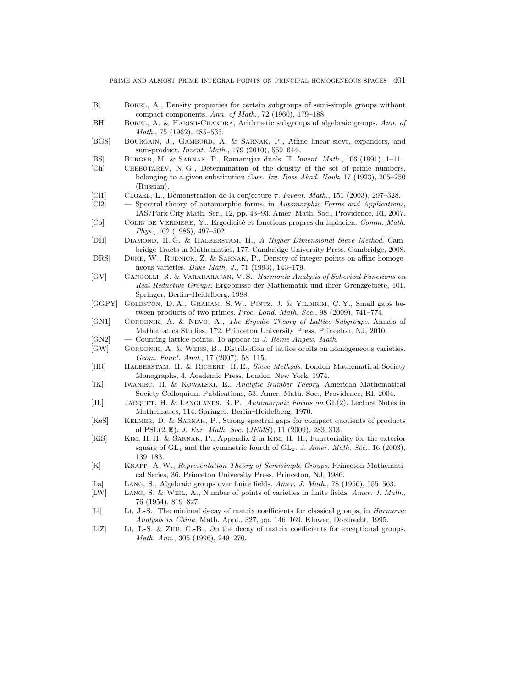- [B] Borel, A., Density properties for certain subgroups of semi-simple groups without compact components. Ann. of Math., 72 (1960), 179–188.
- [BH] Borel, A. & Harish-Chandra, Arithmetic subgroups of algebraic groups. Ann. of Math., 75 (1962), 485–535.
- [BGS] Bourgain, J., Gamburd, A. & Sarnak, P., Affine linear sieve, expanders, and sum-product. Invent. Math., 179 (2010), 559–644.
- [BS] Burger, M. & Sarnak, P., Ramanujan duals. II. Invent. Math., 106 (1991), 1–11.
- [Ch] Chebotarev, N. G., Determination of the density of the set of prime numbers, belonging to a given substitution class. Izv. Ross Akad. Nauk, 17 (1923), 205–250 (Russian).
- [Cl1] CLOZEL, L., Démonstration de la conjecture  $\tau$ . Invent. Math., 151 (2003), 297–328.
- [Cl2] Spectral theory of automorphic forms, in Automorphic Forms and Applications, IAS/Park City Math. Ser., 12, pp. 43–93. Amer. Math. Soc., Providence, RI, 2007.
- [Co] COLIN DE VERDIÈRE, Y., Ergodicité et fonctions propres du laplacien. Comm. Math. Phys., 102 (1985), 497–502.
- [DH] Diamond, H. G. & Halberstam, H., A Higher-Dimensional Sieve Method. Cambridge Tracts in Mathematics, 177. Cambridge University Press, Cambridge, 2008.
- [DRS] DUKE, W., RUDNICK, Z. & SARNAK, P., Density of integer points on affine homogeneous varieties. Duke Math. J., 71 (1993), 143–179.
- [GV] Gangolli, R. & Varadarajan, V. S., Harmonic Analysis of Spherical Functions on Real Reductive Groups. Ergebnisse der Mathematik und ihrer Grenzgebiete, 101. Springer, Berlin–Heidelberg, 1988.
- [GGPY] GOLDSTON, D. A., GRAHAM, S. W., PINTZ, J. & YILDIRIM, C. Y., Small gaps between products of two primes. Proc. Lond. Math. Soc., 98 (2009), 741–774.
- [GN1] Gorodnik, A. & Nevo, A., The Ergodic Theory of Lattice Subgroups. Annals of Mathematics Studies, 172. Princeton University Press, Princeton, NJ, 2010.
- $[GN2]$  Counting lattice points. To appear in J. Reine Angew. Math.
- [GW] Gorodnik, A. & Weiss, B., Distribution of lattice orbits on homogeneous varieties. Geom. Funct. Anal., 17 (2007), 58–115.
- [HR] Halberstam, H. & Richert, H. E., Sieve Methods. London Mathematical Society Monographs, 4. Academic Press, London–New York, 1974.
- [IK] Iwaniec, H. & Kowalski, E., Analytic Number Theory. American Mathematical Society Colloquium Publications, 53. Amer. Math. Soc., Providence, RI, 2004.
- [JL] JACQUET, H. & LANGLANDS, R. P., Automorphic Forms on GL(2). Lecture Notes in Mathematics, 114. Springer, Berlin–Heidelberg, 1970.
- [KeS] Kelmer, D. & Sarnak, P., Strong spectral gaps for compact quotients of products of PSL(2, R). J. Eur. Math. Soc. (JEMS), 11 (2009), 283–313.
- [KiS] Kim, H. H. & Sarnak, P., Appendix 2 in Kim, H. H., Functoriality for the exterior square of  $GL_4$  and the symmetric fourth of  $GL_2$ . J. Amer. Math. Soc., 16 (2003), 139–183.
- [K] Knapp, A. W., Representation Theory of Semisimple Groups. Princeton Mathematical Series, 36. Princeton University Press, Princeton, NJ, 1986.
- [La] Lang, S., Algebraic groups over finite fields. Amer. J. Math., 78 (1956), 555–563.
- [LW] LANG, S. & WEIL, A., Number of points of varieties in finite fields. Amer. J. Math., 76 (1954), 819–827.
- [Li] Li, J.-S., The minimal decay of matrix coefficients for classical groups, in Harmonic Analysis in China, Math. Appl., 327, pp. 146–169. Kluwer, Dordrecht, 1995.
- [LiZ] Li, J.-S. & Zhu, C.-B., On the decay of matrix coefficients for exceptional groups. Math. Ann., 305 (1996), 249–270.